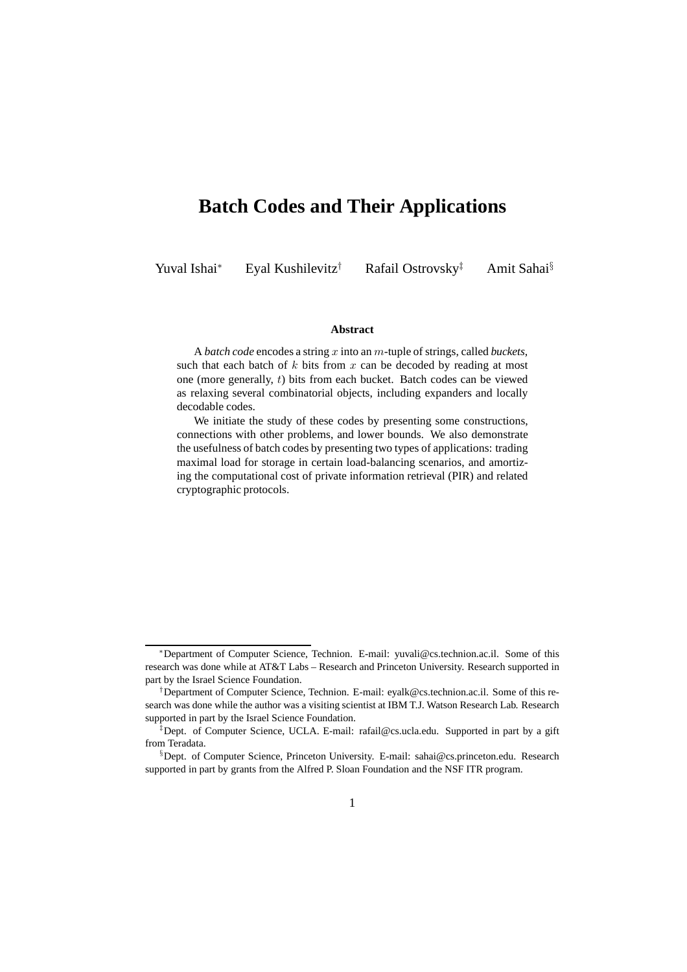# **Batch Codes and Their Applications**

Yuval Ishai<sup>∗</sup> Eyal Kushilevitz† Rafail Ostrovsky‡ Amit Sahai§

#### **Abstract**

A *batch code* encodes a string x into an m-tuple of strings, called *buckets*, such that each batch of  $k$  bits from  $x$  can be decoded by reading at most one (more generally, t) bits from each bucket. Batch codes can be viewed as relaxing several combinatorial objects, including expanders and locally decodable codes.

We initiate the study of these codes by presenting some constructions, connections with other problems, and lower bounds. We also demonstrate the usefulness of batch codes by presenting two types of applications: trading maximal load for storage in certain load-balancing scenarios, and amortizing the computational cost of private information retrieval (PIR) and related cryptographic protocols.

<sup>∗</sup>Department of Computer Science, Technion. E-mail: yuvali@cs.technion.ac.il. Some of this research was done while at AT&T Labs – Research and Princeton University. Research supported in part by the Israel Science Foundation.

<sup>†</sup>Department of Computer Science, Technion. E-mail: eyalk@cs.technion.ac.il. Some of this research was done while the author was a visiting scientist at IBM T.J. Watson Research Lab. Research supported in part by the Israel Science Foundation.

<sup>‡</sup>Dept. of Computer Science, UCLA. E-mail: rafail@cs.ucla.edu. Supported in part by a gift from Teradata.

<sup>§</sup>Dept. of Computer Science, Princeton University. E-mail: sahai@cs.princeton.edu. Research supported in part by grants from the Alfred P. Sloan Foundation and the NSF ITR program.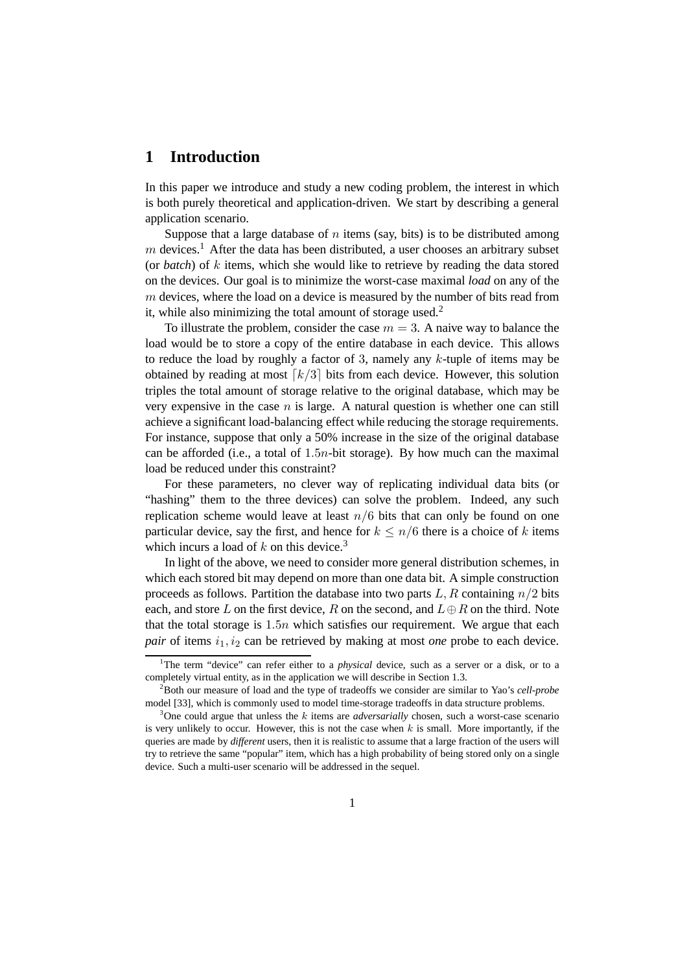### **1 Introduction**

In this paper we introduce and study a new coding problem, the interest in which is both purely theoretical and application-driven. We start by describing a general application scenario.

Suppose that a large database of  $n$  items (say, bits) is to be distributed among  $m$  devices.<sup>1</sup> After the data has been distributed, a user chooses an arbitrary subset (or *batch*) of k items, which she would like to retrieve by reading the data stored on the devices. Our goal is to minimize the worst-case maximal *load* on any of the  $m$  devices, where the load on a device is measured by the number of bits read from it, while also minimizing the total amount of storage used.<sup>2</sup>

To illustrate the problem, consider the case  $m = 3$ . A naive way to balance the load would be to store a copy of the entire database in each device. This allows to reduce the load by roughly a factor of 3, namely any  $k$ -tuple of items may be obtained by reading at most  $\lceil k/3 \rceil$  bits from each device. However, this solution triples the total amount of storage relative to the original database, which may be very expensive in the case  $n$  is large. A natural question is whether one can still achieve a significant load-balancing effect while reducing the storage requirements. For instance, suppose that only a 50% increase in the size of the original database can be afforded (i.e., a total of 1.5n-bit storage). By how much can the maximal load be reduced under this constraint?

For these parameters, no clever way of replicating individual data bits (or "hashing" them to the three devices) can solve the problem. Indeed, any such replication scheme would leave at least  $n/6$  bits that can only be found on one particular device, say the first, and hence for  $k \leq n/6$  there is a choice of k items which incurs a load of  $k$  on this device.<sup>3</sup>

In light of the above, we need to consider more general distribution schemes, in which each stored bit may depend on more than one data bit. A simple construction proceeds as follows. Partition the database into two parts  $L, R$  containing  $n/2$  bits each, and store L on the first device, R on the second, and  $L \oplus R$  on the third. Note that the total storage is  $1.5n$  which satisfies our requirement. We argue that each *pair* of items  $i_1$ ,  $i_2$  can be retrieved by making at most *one* probe to each device.

<sup>&</sup>lt;sup>1</sup>The term "device" can refer either to a *physical* device, such as a server or a disk, or to a completely virtual entity, as in the application we will describe in Section 1.3.

<sup>2</sup>Both our measure of load and the type of tradeoffs we consider are similar to Yao's *cell-probe* model [33], which is commonly used to model time-storage tradeoffs in data structure problems.

<sup>&</sup>lt;sup>3</sup>One could argue that unless the k items are *adversarially* chosen, such a worst-case scenario is very unlikely to occur. However, this is not the case when  $k$  is small. More importantly, if the queries are made by *different* users, then it is realistic to assume that a large fraction of the users will try to retrieve the same "popular" item, which has a high probability of being stored only on a single device. Such a multi-user scenario will be addressed in the sequel.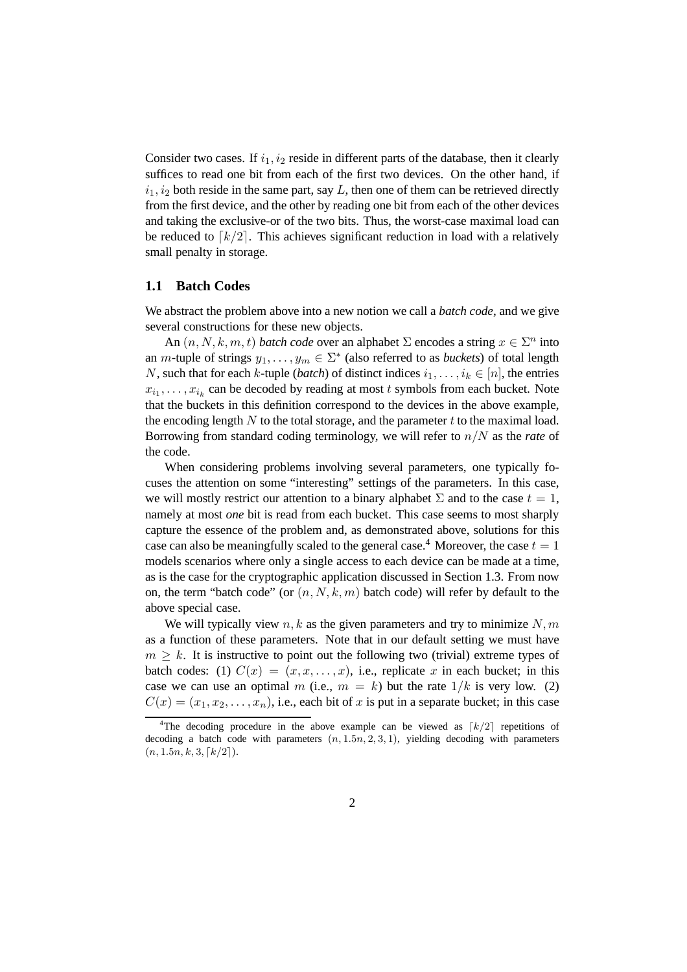Consider two cases. If  $i_1$ ,  $i_2$  reside in different parts of the database, then it clearly suffices to read one bit from each of the first two devices. On the other hand, if  $i_1, i_2$  both reside in the same part, say L, then one of them can be retrieved directly from the first device, and the other by reading one bit from each of the other devices and taking the exclusive-or of the two bits. Thus, the worst-case maximal load can be reduced to  $\lceil k/2 \rceil$ . This achieves significant reduction in load with a relatively small penalty in storage.

#### **1.1 Batch Codes**

We abstract the problem above into a new notion we call a *batch code*, and we give several constructions for these new objects.

An  $(n, N, k, m, t)$  *batch code* over an alphabet  $\Sigma$  encodes a string  $x \in \Sigma^n$  into an *m*-tuple of strings  $y_1, \ldots, y_m \in \Sigma^*$  (also referred to as *buckets*) of total length N, such that for each k-tuple (*batch*) of distinct indices  $i_1, \ldots, i_k \in [n]$ , the entries  $x_{i_1}, \ldots, x_{i_k}$  can be decoded by reading at most t symbols from each bucket. Note that the buckets in this definition correspond to the devices in the above example, the encoding length N to the total storage, and the parameter t to the maximal load. Borrowing from standard coding terminology, we will refer to n/N as the *rate* of the code.

When considering problems involving several parameters, one typically focuses the attention on some "interesting" settings of the parameters. In this case, we will mostly restrict our attention to a binary alphabet  $\Sigma$  and to the case  $t = 1$ , namely at most *one* bit is read from each bucket. This case seems to most sharply capture the essence of the problem and, as demonstrated above, solutions for this case can also be meaningfully scaled to the general case.<sup>4</sup> Moreover, the case  $t = 1$ models scenarios where only a single access to each device can be made at a time, as is the case for the cryptographic application discussed in Section 1.3. From now on, the term "batch code" (or  $(n, N, k, m)$  batch code) will refer by default to the above special case.

We will typically view  $n, k$  as the given parameters and try to minimize  $N, m$ as a function of these parameters. Note that in our default setting we must have  $m \geq k$ . It is instructive to point out the following two (trivial) extreme types of batch codes: (1)  $C(x) = (x, x, \dots, x)$ , i.e., replicate x in each bucket; in this case we can use an optimal m (i.e.,  $m = k$ ) but the rate  $1/k$  is very low. (2)  $C(x) = (x_1, x_2, \ldots, x_n)$ , i.e., each bit of x is put in a separate bucket; in this case

<sup>&</sup>lt;sup>4</sup>The decoding procedure in the above example can be viewed as  $\lceil k/2 \rceil$  repetitions of decoding a batch code with parameters  $(n, 1.5n, 2, 3, 1)$ , yielding decoding with parameters  $(n, 1.5n, k, 3, \lceil k/2 \rceil).$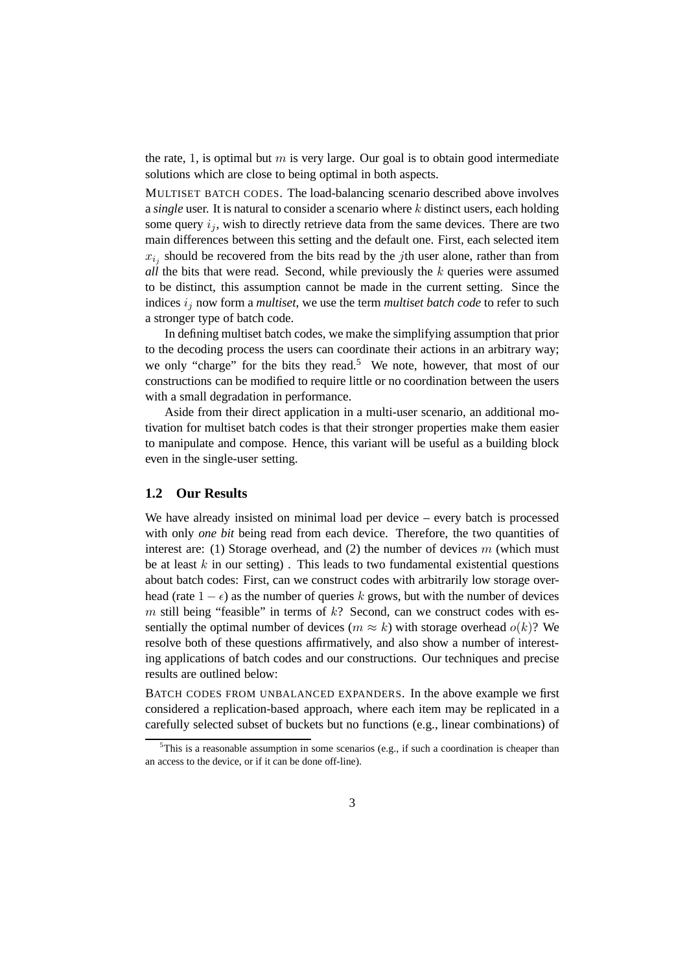the rate, 1, is optimal but m is very large. Our goal is to obtain good intermediate solutions which are close to being optimal in both aspects.

MULTISET BATCH CODES. The load-balancing scenario described above involves a *single* user. It is natural to consider a scenario where k distinct users, each holding some query  $i_j$ , wish to directly retrieve data from the same devices. There are two main differences between this setting and the default one. First, each selected item  $x_{i_j}$  should be recovered from the bits read by the *j*th user alone, rather than from *all* the bits that were read. Second, while previously the k queries were assumed to be distinct, this assumption cannot be made in the current setting. Since the indices  $i_j$  now form a *multiset*, we use the term *multiset batch code* to refer to such a stronger type of batch code.

In defining multiset batch codes, we make the simplifying assumption that prior to the decoding process the users can coordinate their actions in an arbitrary way; we only "charge" for the bits they read.<sup>5</sup> We note, however, that most of our constructions can be modified to require little or no coordination between the users with a small degradation in performance.

Aside from their direct application in a multi-user scenario, an additional motivation for multiset batch codes is that their stronger properties make them easier to manipulate and compose. Hence, this variant will be useful as a building block even in the single-user setting.

#### **1.2 Our Results**

We have already insisted on minimal load per device – every batch is processed with only *one bit* being read from each device. Therefore, the two quantities of interest are: (1) Storage overhead, and (2) the number of devices  $m$  (which must be at least  $k$  in our setting). This leads to two fundamental existential questions about batch codes: First, can we construct codes with arbitrarily low storage overhead (rate  $1 - \epsilon$ ) as the number of queries k grows, but with the number of devices m still being "feasible" in terms of  $k$ ? Second, can we construct codes with essentially the optimal number of devices ( $m \approx k$ ) with storage overhead  $o(k)$ ? We resolve both of these questions affirmatively, and also show a number of interesting applications of batch codes and our constructions. Our techniques and precise results are outlined below:

BATCH CODES FROM UNBALANCED EXPANDERS. In the above example we first considered a replication-based approach, where each item may be replicated in a carefully selected subset of buckets but no functions (e.g., linear combinations) of

<sup>&</sup>lt;sup>5</sup>This is a reasonable assumption in some scenarios (e.g., if such a coordination is cheaper than an access to the device, or if it can be done off-line).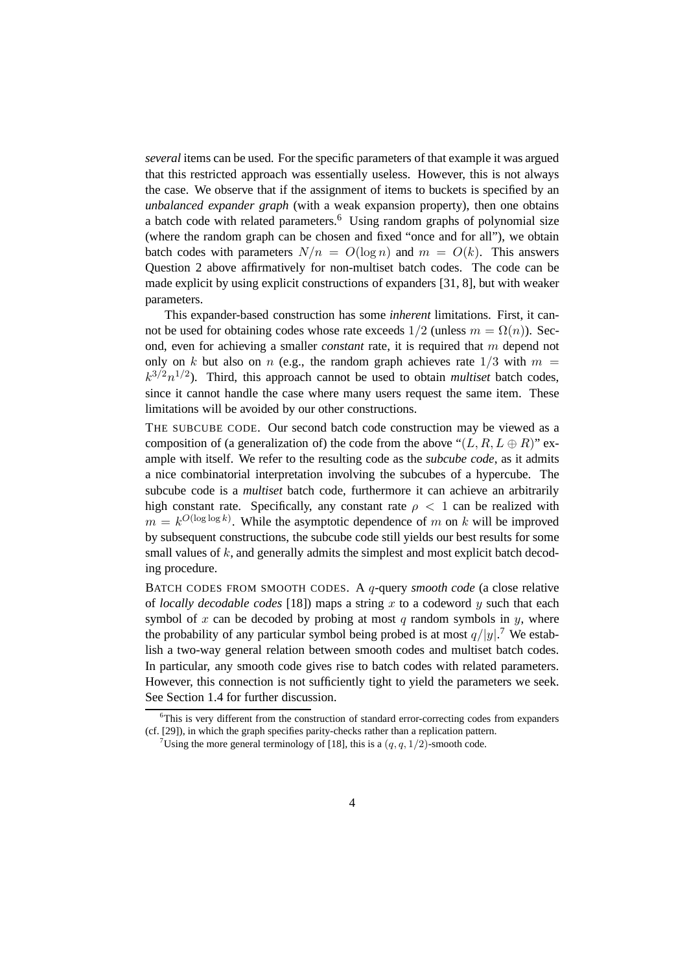*several* items can be used. For the specific parameters of that example it was argued that this restricted approach was essentially useless. However, this is not always the case. We observe that if the assignment of items to buckets is specified by an *unbalanced expander graph* (with a weak expansion property), then one obtains a batch code with related parameters.<sup>6</sup> Using random graphs of polynomial size (where the random graph can be chosen and fixed "once and for all"), we obtain batch codes with parameters  $N/n = O(\log n)$  and  $m = O(k)$ . This answers Question 2 above affirmatively for non-multiset batch codes. The code can be made explicit by using explicit constructions of expanders [31, 8], but with weaker parameters.

This expander-based construction has some *inherent* limitations. First, it cannot be used for obtaining codes whose rate exceeds  $1/2$  (unless  $m = \Omega(n)$ ). Second, even for achieving a smaller *constant* rate, it is required that m depend not only on k but also on n (e.g., the random graph achieves rate  $1/3$  with  $m =$  $k^{3/2}n^{1/2}$ ). Third, this approach cannot be used to obtain *multiset* batch codes, since it cannot handle the case where many users request the same item. These limitations will be avoided by our other constructions.

THE SUBCUBE CODE. Our second batch code construction may be viewed as a composition of (a generalization of) the code from the above " $(L, R, L \oplus R)$ " example with itself. We refer to the resulting code as the *subcube code*, as it admits a nice combinatorial interpretation involving the subcubes of a hypercube. The subcube code is a *multiset* batch code, furthermore it can achieve an arbitrarily high constant rate. Specifically, any constant rate  $\rho < 1$  can be realized with  $m = k^{O(\log \log k)}$ . While the asymptotic dependence of m on k will be improved by subsequent constructions, the subcube code still yields our best results for some small values of  $k$ , and generally admits the simplest and most explicit batch decoding procedure.

BATCH CODES FROM SMOOTH CODES. A q-query *smooth code* (a close relative of *locally decodable codes* [18]) maps a string  $x$  to a codeword  $y$  such that each symbol of x can be decoded by probing at most  $q$  random symbols in  $y$ , where the probability of any particular symbol being probed is at most  $q/|y|$ .<sup>7</sup> We establish a two-way general relation between smooth codes and multiset batch codes. In particular, any smooth code gives rise to batch codes with related parameters. However, this connection is not sufficiently tight to yield the parameters we seek. See Section 1.4 for further discussion.

 $6$ This is very different from the construction of standard error-correcting codes from expanders (cf. [29]), in which the graph specifies parity-checks rather than a replication pattern.

<sup>&</sup>lt;sup>7</sup>Using the more general terminology of [18], this is a  $(q, q, 1/2)$ -smooth code.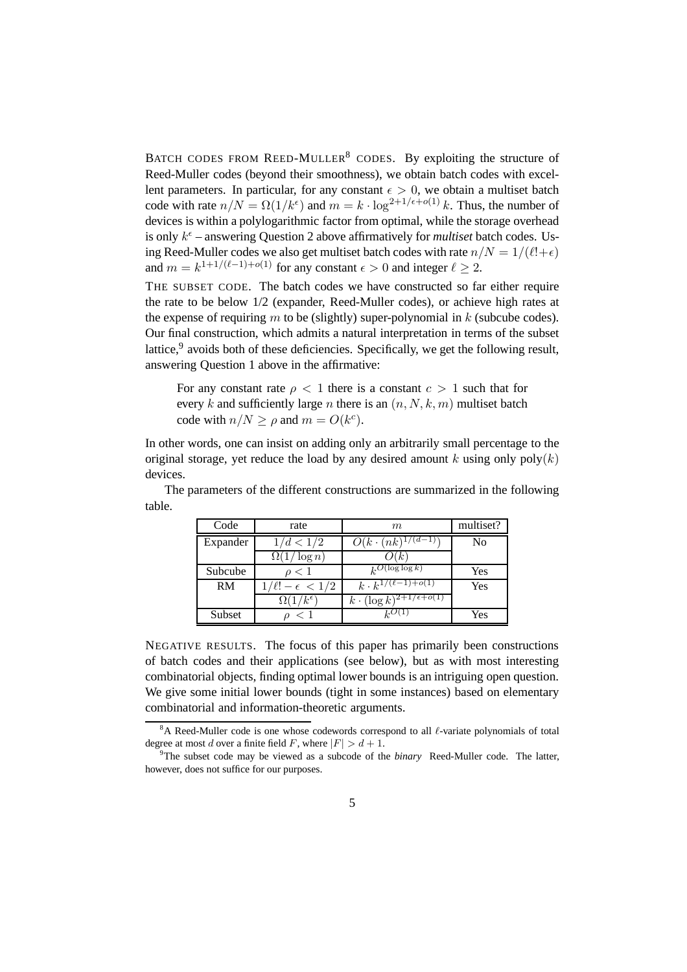BATCH CODES FROM REED-MULLER<sup>8</sup> CODES. By exploiting the structure of Reed-Muller codes (beyond their smoothness), we obtain batch codes with excellent parameters. In particular, for any constant  $\epsilon > 0$ , we obtain a multiset batch code with rate  $n/N = \Omega(1/k^{\epsilon})$  and  $m = k \cdot \log^{2+1/\epsilon + o(1)} k$ . Thus, the number of devices is within a polylogarithmic factor from optimal, while the storage overhead is only  $k^{\epsilon}$  – answering Question 2 above affirmatively for *multiset* batch codes. Using Reed-Muller codes we also get multiset batch codes with rate  $n/N = 1/(\ell!+\epsilon)$ and  $m = k^{1+1/(\ell-1)+o(1)}$  for any constant  $\epsilon > 0$  and integer  $\ell \geq 2$ .

THE SUBSET CODE. The batch codes we have constructed so far either require the rate to be below 1/2 (expander, Reed-Muller codes), or achieve high rates at the expense of requiring  $m$  to be (slightly) super-polynomial in  $k$  (subcube codes). Our final construction, which admits a natural interpretation in terms of the subset lattice,<sup>9</sup> avoids both of these deficiencies. Specifically, we get the following result, answering Question 1 above in the affirmative:

For any constant rate  $\rho < 1$  there is a constant  $c > 1$  such that for every k and sufficiently large n there is an  $(n, N, k, m)$  multiset batch code with  $n/N \ge \rho$  and  $m = O(k^c)$ .

In other words, one can insist on adding only an arbitrarily small percentage to the original storage, yet reduce the load by any desired amount k using only  $poly(k)$ devices.

The parameters of the different constructions are summarized in the following table.

| Code     | rate                       | m                                        | multiset? |
|----------|----------------------------|------------------------------------------|-----------|
| Expander | 1/d < 1/2                  | $O(k \cdot (nk)^{1/2})$                  | No        |
|          | $\Omega(1/\log n)$         | ( ) ( k )                                |           |
| Subcube  | $\rho < 1$                 | $k^O(\log \log k)$                       | Yes       |
| RM       | $/ \ell! - \epsilon < 1/2$ | $k \cdot k^{1/(\ell-1)+o(1)}$            | Yes       |
|          | $\Omega(1/k^{\epsilon})$   | $k \cdot (\log k)^{2+1/\epsilon + o(1)}$ |           |
| Subset   | $<$ 1                      |                                          | Yes       |

NEGATIVE RESULTS. The focus of this paper has primarily been constructions of batch codes and their applications (see below), but as with most interesting combinatorial objects, finding optimal lower bounds is an intriguing open question. We give some initial lower bounds (tight in some instances) based on elementary combinatorial and information-theoretic arguments.

<sup>&</sup>lt;sup>8</sup>A Reed-Muller code is one whose codewords correspond to all  $\ell$ -variate polynomials of total degree at most d over a finite field F, where  $|F| > d + 1$ .

<sup>9</sup>The subset code may be viewed as a subcode of the *binary* Reed-Muller code. The latter, however, does not suffice for our purposes.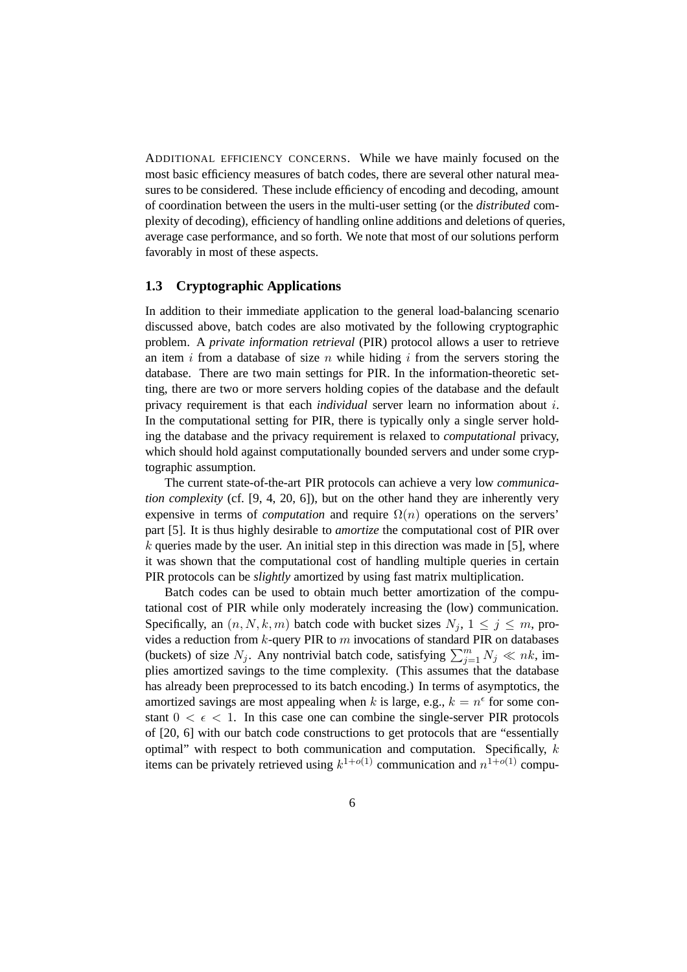ADDITIONAL EFFICIENCY CONCERNS. While we have mainly focused on the most basic efficiency measures of batch codes, there are several other natural measures to be considered. These include efficiency of encoding and decoding, amount of coordination between the users in the multi-user setting (or the *distributed* complexity of decoding), efficiency of handling online additions and deletions of queries, average case performance, and so forth. We note that most of our solutions perform favorably in most of these aspects.

#### **1.3 Cryptographic Applications**

In addition to their immediate application to the general load-balancing scenario discussed above, batch codes are also motivated by the following cryptographic problem. A *private information retrieval* (PIR) protocol allows a user to retrieve an item i from a database of size n while hiding i from the servers storing the database. There are two main settings for PIR. In the information-theoretic setting, there are two or more servers holding copies of the database and the default privacy requirement is that each *individual* server learn no information about i. In the computational setting for PIR, there is typically only a single server holding the database and the privacy requirement is relaxed to *computational* privacy, which should hold against computationally bounded servers and under some cryptographic assumption.

The current state-of-the-art PIR protocols can achieve a very low *communication complexity* (cf. [9, 4, 20, 6]), but on the other hand they are inherently very expensive in terms of *computation* and require  $\Omega(n)$  operations on the servers' part [5]. It is thus highly desirable to *amortize* the computational cost of PIR over  $k$  queries made by the user. An initial step in this direction was made in [5], where it was shown that the computational cost of handling multiple queries in certain PIR protocols can be *slightly* amortized by using fast matrix multiplication.

Batch codes can be used to obtain much better amortization of the computational cost of PIR while only moderately increasing the (low) communication. Specifically, an  $(n, N, k, m)$  batch code with bucket sizes  $N_i$ ,  $1 \leq j \leq m$ , provides a reduction from  $k$ -query PIR to  $m$  invocations of standard PIR on databases (buckets) of size  $N_j$ . Any nontrivial batch code, satisfying  $\sum_{j=1}^m N_j \ll nk$ , implies amortized savings to the time complexity. (This assumes that the database has already been preprocessed to its batch encoding.) In terms of asymptotics, the amortized savings are most appealing when k is large, e.g.,  $k = n^{\epsilon}$  for some constant  $0 < \epsilon < 1$ . In this case one can combine the single-server PIR protocols of [20, 6] with our batch code constructions to get protocols that are "essentially optimal" with respect to both communication and computation. Specifically,  $k$ items can be privately retrieved using  $k^{1+o(1)}$  communication and  $n^{1+o(1)}$  compu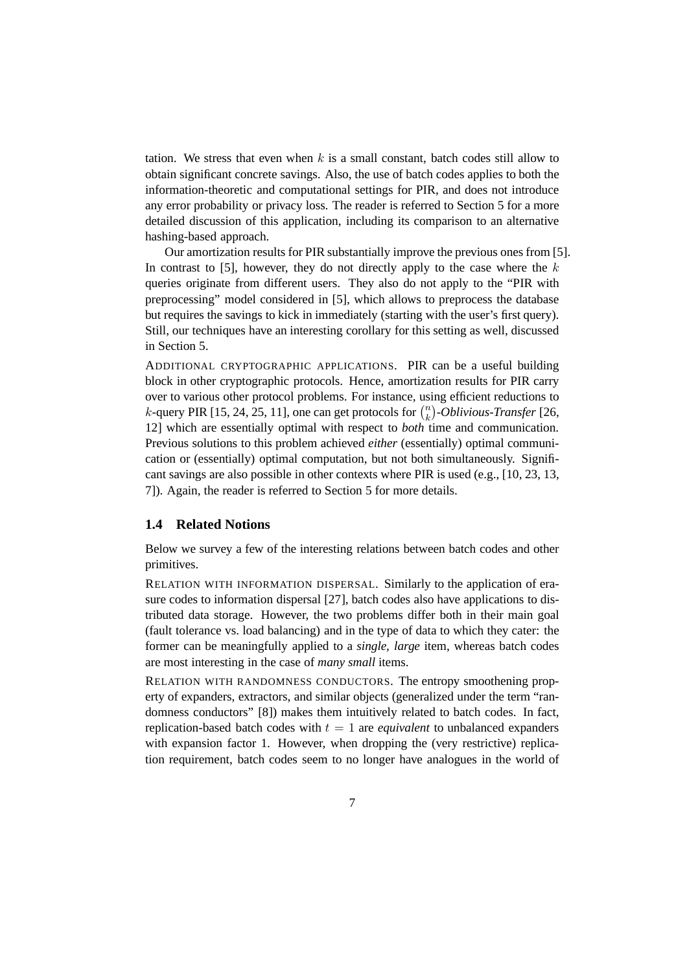tation. We stress that even when  $k$  is a small constant, batch codes still allow to obtain significant concrete savings. Also, the use of batch codes applies to both the information-theoretic and computational settings for PIR, and does not introduce any error probability or privacy loss. The reader is referred to Section 5 for a more detailed discussion of this application, including its comparison to an alternative hashing-based approach.

Our amortization results for PIR substantially improve the previous ones from [5]. In contrast to [5], however, they do not directly apply to the case where the  $k$ queries originate from different users. They also do not apply to the "PIR with preprocessing" model considered in [5], which allows to preprocess the database but requires the savings to kick in immediately (starting with the user's first query). Still, our techniques have an interesting corollary for this setting as well, discussed in Section 5.

ADDITIONAL CRYPTOGRAPHIC APPLICATIONS. PIR can be a useful building block in other cryptographic protocols. Hence, amortization results for PIR carry over to various other protocol problems. For instance, using efficient reductions to k-query PIR [15, 24, 25, 11], one can get protocols for  $\binom{n}{k}$ k *-Oblivious-Transfer* [26, 12] which are essentially optimal with respect to *both* time and communication. Previous solutions to this problem achieved *either* (essentially) optimal communication or (essentially) optimal computation, but not both simultaneously. Significant savings are also possible in other contexts where PIR is used (e.g., [10, 23, 13, 7]). Again, the reader is referred to Section 5 for more details.

#### **1.4 Related Notions**

Below we survey a few of the interesting relations between batch codes and other primitives.

RELATION WITH INFORMATION DISPERSAL. Similarly to the application of erasure codes to information dispersal [27], batch codes also have applications to distributed data storage. However, the two problems differ both in their main goal (fault tolerance vs. load balancing) and in the type of data to which they cater: the former can be meaningfully applied to a *single, large* item, whereas batch codes are most interesting in the case of *many small* items.

RELATION WITH RANDOMNESS CONDUCTORS. The entropy smoothening property of expanders, extractors, and similar objects (generalized under the term "randomness conductors" [8]) makes them intuitively related to batch codes. In fact, replication-based batch codes with  $t = 1$  are *equivalent* to unbalanced expanders with expansion factor 1. However, when dropping the (very restrictive) replication requirement, batch codes seem to no longer have analogues in the world of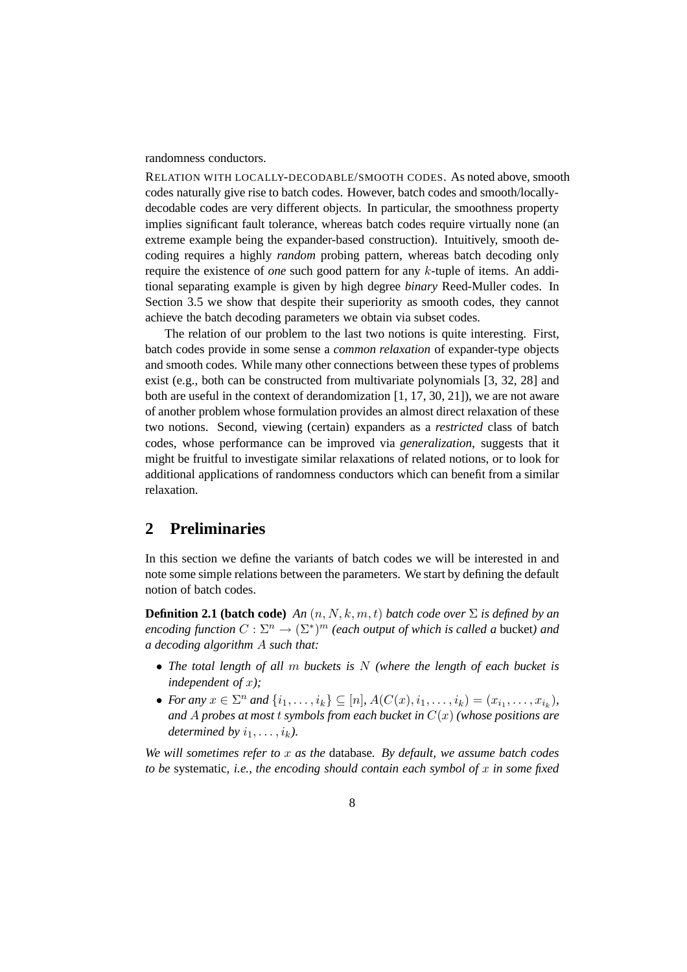randomness conductors.

RELATION WITH LOCALLY-DECODABLE/SMOOTH CODES. As noted above, smooth codes naturally give rise to batch codes. However, batch codes and smooth/locallydecodable codes are very different objects. In particular, the smoothness property implies significant fault tolerance, whereas batch codes require virtually none (an extreme example being the expander-based construction). Intuitively, smooth decoding requires a highly *random* probing pattern, whereas batch decoding only require the existence of *one* such good pattern for any k-tuple of items. An additional separating example is given by high degree *binary* Reed-Muller codes. In Section 3.5 we show that despite their superiority as smooth codes, they cannot achieve the batch decoding parameters we obtain via subset codes.

The relation of our problem to the last two notions is quite interesting. First, batch codes provide in some sense a *common relaxation* of expander-type objects and smooth codes. While many other connections between these types of problems exist (e.g., both can be constructed from multivariate polynomials [3, 32, 28] and both are useful in the context of derandomization [1, 17, 30, 21]), we are not aware of another problem whose formulation provides an almost direct relaxation of these two notions. Second, viewing (certain) expanders as a *restricted* class of batch codes, whose performance can be improved via *generalization*, suggests that it might be fruitful to investigate similar relaxations of related notions, or to look for additional applications of randomness conductors which can benefit from a similar relaxation.

### **2 Preliminaries**

In this section we define the variants of batch codes we will be interested in and note some simple relations between the parameters. We start by defining the default notion of batch codes.

**Definition 2.1 (batch code)** *An*  $(n, N, k, m, t)$  *batch code over*  $\Sigma$  *is defined by an*  $encoding$  function  $C: \Sigma^n \to (\Sigma^*)^m$  (each output of which is called a bucket) and *a decoding algorithm* A *such that:*

- *The total length of all* m *buckets is* N *(where the length of each bucket is independent of* x*);*
- *For any*  $x \in \Sigma^n$  *and*  $\{i_1, ..., i_k\} \subseteq [n]$ ,  $A(C(x), i_1, ..., i_k) = (x_{i_1}, ..., x_{i_k})$ , *and* A *probes at most* t *symbols from each bucket in* C(x) *(whose positions are determined by*  $i_1, \ldots, i_k$ *).*

*We will sometimes refer to* x *as the* database*. By default, we assume batch codes to be* systematic*, i.e., the encoding should contain each symbol of* x *in some fixed*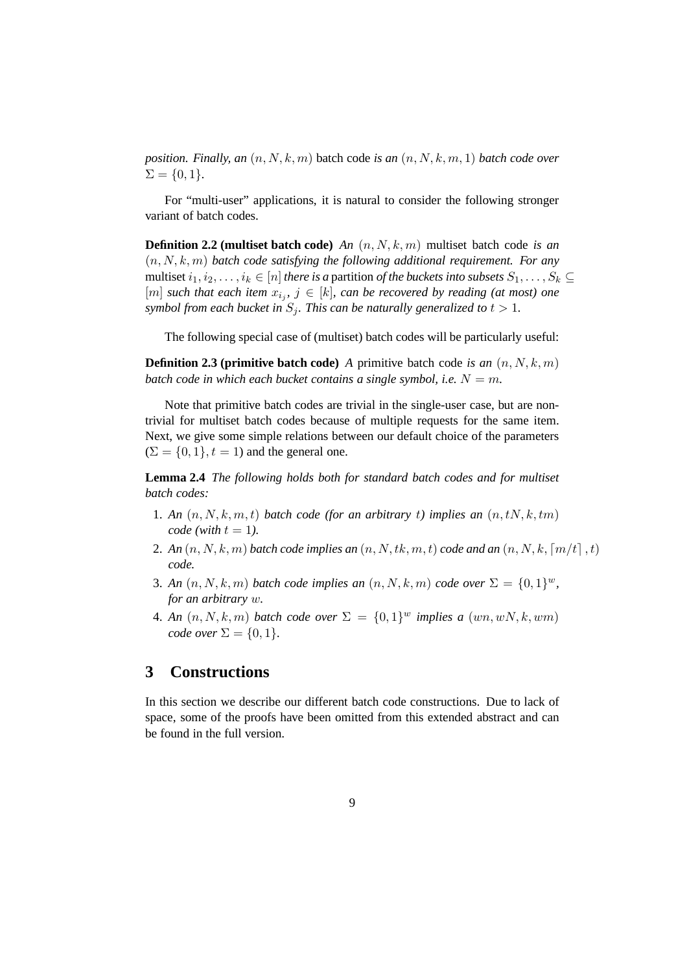*position. Finally, an* (n, N, k, m) batch code *is an* (n, N, k, m, 1) *batch code over*  $\Sigma = \{0, 1\}.$ 

For "multi-user" applications, it is natural to consider the following stronger variant of batch codes.

**Definition 2.2 (multiset batch code)** *An* (n, N, k, m) multiset batch code *is an* (n, N, k, m) *batch code satisfying the following additional requirement. For any* multiset  $i_1, i_2, \ldots, i_k \in [n]$  *there is a partition of the buckets into subsets*  $S_1, \ldots, S_k \subseteq$  $[m]$  such that each item  $x_{i_j}$ ,  $j \in [k]$ , can be recovered by reading (at most) one *symbol from each bucket in*  $S_i$ *. This can be naturally generalized to*  $t > 1$ *.* 

The following special case of (multiset) batch codes will be particularly useful:

**Definition 2.3 (primitive batch code)** *A* primitive batch code *is an*  $(n, N, k, m)$ *batch code in which each bucket contains a single symbol, i.e.*  $N = m$ .

Note that primitive batch codes are trivial in the single-user case, but are nontrivial for multiset batch codes because of multiple requests for the same item. Next, we give some simple relations between our default choice of the parameters  $(\Sigma = \{0, 1\}, t = 1)$  and the general one.

**Lemma 2.4** *The following holds both for standard batch codes and for multiset batch codes:*

- 1. An  $(n, N, k, m, t)$  batch code (for an arbitrary t) implies an  $(n, tN, k, tm)$ *code* (with  $t = 1$ ).
- 2. An  $(n, N, k, m)$  batch code implies an  $(n, N, tk, m, t)$  code and an  $(n, N, k, \lceil m/t \rceil, t)$ *code.*
- 3. *An*  $(n, N, k, m)$  *batch code implies an*  $(n, N, k, m)$  *code over*  $\Sigma = \{0, 1\}^w$ , *for an arbitrary* w*.*
- 4. An  $(n, N, k, m)$  *batch code over*  $\Sigma = \{0, 1\}^w$  *implies a*  $(wn, wN, k, wm)$ *code over*  $\Sigma = \{0, 1\}$ *.*

### **3 Constructions**

In this section we describe our different batch code constructions. Due to lack of space, some of the proofs have been omitted from this extended abstract and can be found in the full version.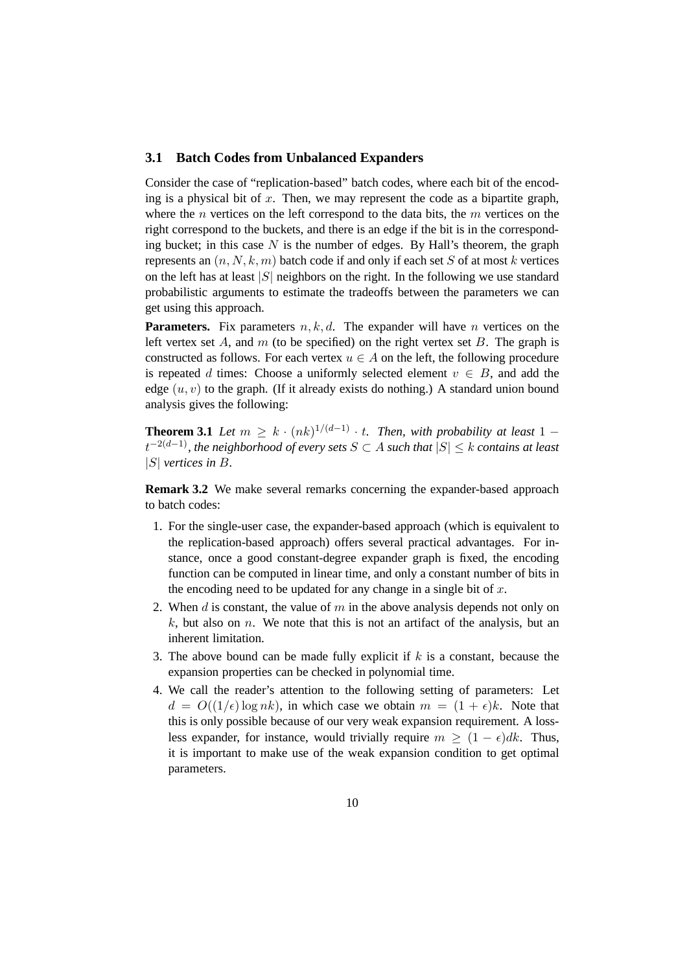#### **3.1 Batch Codes from Unbalanced Expanders**

Consider the case of "replication-based" batch codes, where each bit of the encoding is a physical bit of  $x$ . Then, we may represent the code as a bipartite graph, where the *n* vertices on the left correspond to the data bits, the *m* vertices on the right correspond to the buckets, and there is an edge if the bit is in the corresponding bucket; in this case  $N$  is the number of edges. By Hall's theorem, the graph represents an  $(n, N, k, m)$  batch code if and only if each set S of at most k vertices on the left has at least  $|S|$  neighbors on the right. In the following we use standard probabilistic arguments to estimate the tradeoffs between the parameters we can get using this approach.

**Parameters.** Fix parameters  $n, k, d$ . The expander will have n vertices on the left vertex set  $A$ , and  $m$  (to be specified) on the right vertex set  $B$ . The graph is constructed as follows. For each vertex  $u \in A$  on the left, the following procedure is repeated d times: Choose a uniformly selected element  $v \in B$ , and add the edge  $(u, v)$  to the graph. (If it already exists do nothing.) A standard union bound analysis gives the following:

**Theorem 3.1** *Let*  $m \geq k \cdot (nk)^{1/(d-1)} \cdot t$ . *Then, with probability at least* 1 − t <sup>−</sup>2(d−1)*, the neighborhood of every sets* <sup>S</sup> <sup>⊂</sup> <sup>A</sup> *such that* <sup>|</sup>S| ≤ <sup>k</sup> *contains at least* |S| *vertices in* B*.*

**Remark 3.2** We make several remarks concerning the expander-based approach to batch codes:

- 1. For the single-user case, the expander-based approach (which is equivalent to the replication-based approach) offers several practical advantages. For instance, once a good constant-degree expander graph is fixed, the encoding function can be computed in linear time, and only a constant number of bits in the encoding need to be updated for any change in a single bit of  $x$ .
- 2. When  $d$  is constant, the value of  $m$  in the above analysis depends not only on  $k$ , but also on n. We note that this is not an artifact of the analysis, but an inherent limitation.
- 3. The above bound can be made fully explicit if  $k$  is a constant, because the expansion properties can be checked in polynomial time.
- 4. We call the reader's attention to the following setting of parameters: Let  $d = O((1/\epsilon) \log nk)$ , in which case we obtain  $m = (1 + \epsilon)k$ . Note that this is only possible because of our very weak expansion requirement. A lossless expander, for instance, would trivially require  $m \ge (1 - \epsilon)dk$ . Thus, it is important to make use of the weak expansion condition to get optimal parameters.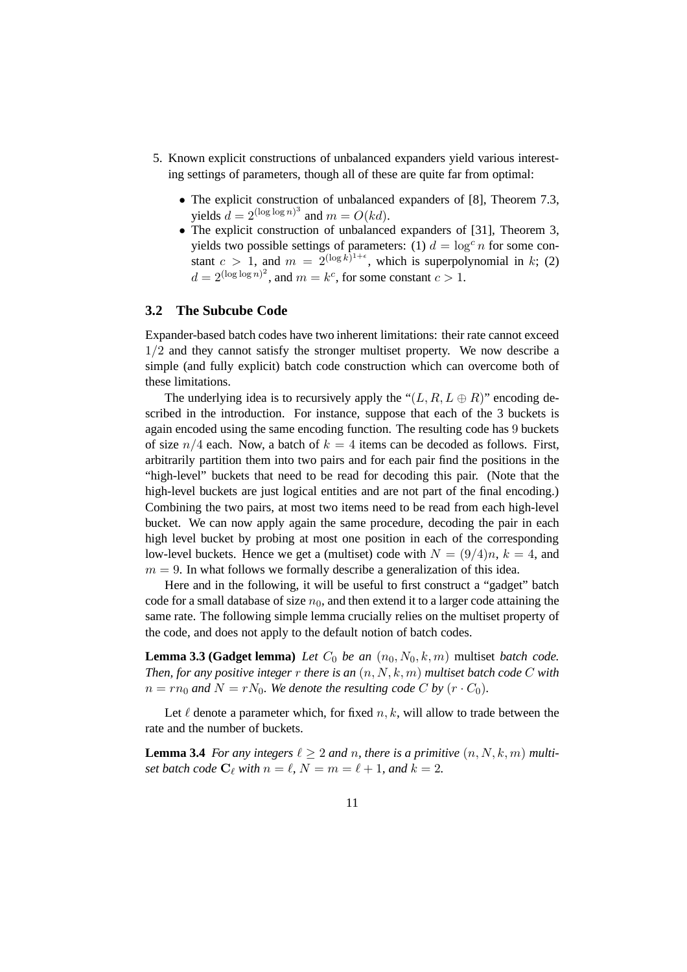- 5. Known explicit constructions of unbalanced expanders yield various interesting settings of parameters, though all of these are quite far from optimal:
	- The explicit construction of unbalanced expanders of [8], Theorem 7.3, yields  $d = 2^{(\log \log n)^3}$  and  $m = O(kd)$ .
	- The explicit construction of unbalanced expanders of [31], Theorem 3, yields two possible settings of parameters: (1)  $d = \log^c n$  for some constant  $c > 1$ , and  $m = 2^{(\log k)^{1+\epsilon}}$ , which is superpolynomial in k; (2)  $d = 2^{(\log \log n)^2}$ , and  $m = k^c$ , for some constant  $c > 1$ .

### **3.2 The Subcube Code**

Expander-based batch codes have two inherent limitations: their rate cannot exceed 1/2 and they cannot satisfy the stronger multiset property. We now describe a simple (and fully explicit) batch code construction which can overcome both of these limitations.

The underlying idea is to recursively apply the " $(L, R, L \oplus R)$ " encoding described in the introduction. For instance, suppose that each of the 3 buckets is again encoded using the same encoding function. The resulting code has 9 buckets of size  $n/4$  each. Now, a batch of  $k = 4$  items can be decoded as follows. First, arbitrarily partition them into two pairs and for each pair find the positions in the "high-level" buckets that need to be read for decoding this pair. (Note that the high-level buckets are just logical entities and are not part of the final encoding.) Combining the two pairs, at most two items need to be read from each high-level bucket. We can now apply again the same procedure, decoding the pair in each high level bucket by probing at most one position in each of the corresponding low-level buckets. Hence we get a (multiset) code with  $N = (9/4)n$ ,  $k = 4$ , and  $m = 9$ . In what follows we formally describe a generalization of this idea.

Here and in the following, it will be useful to first construct a "gadget" batch code for a small database of size  $n_0$ , and then extend it to a larger code attaining the same rate. The following simple lemma crucially relies on the multiset property of the code, and does not apply to the default notion of batch codes.

**Lemma 3.3 (Gadget lemma)** *Let*  $C_0$  *be an*  $(n_0, N_0, k, m)$  multiset *batch code. Then, for any positive integer* r *there is an* (n, N, k, m) *multiset batch code* C *with*  $n = rn_0$  and  $N = rN_0$ . We denote the resulting code C by  $(r \cdot C_0)$ .

Let  $\ell$  denote a parameter which, for fixed  $n, k$ , will allow to trade between the rate and the number of buckets.

**Lemma 3.4** *For any integers*  $\ell \geq 2$  *and n, there is a primitive*  $(n, N, k, m)$  *multiset batch code*  $C_{\ell}$  *with*  $n = \ell$ ,  $N = m = \ell + 1$ *, and*  $k = 2$ *.*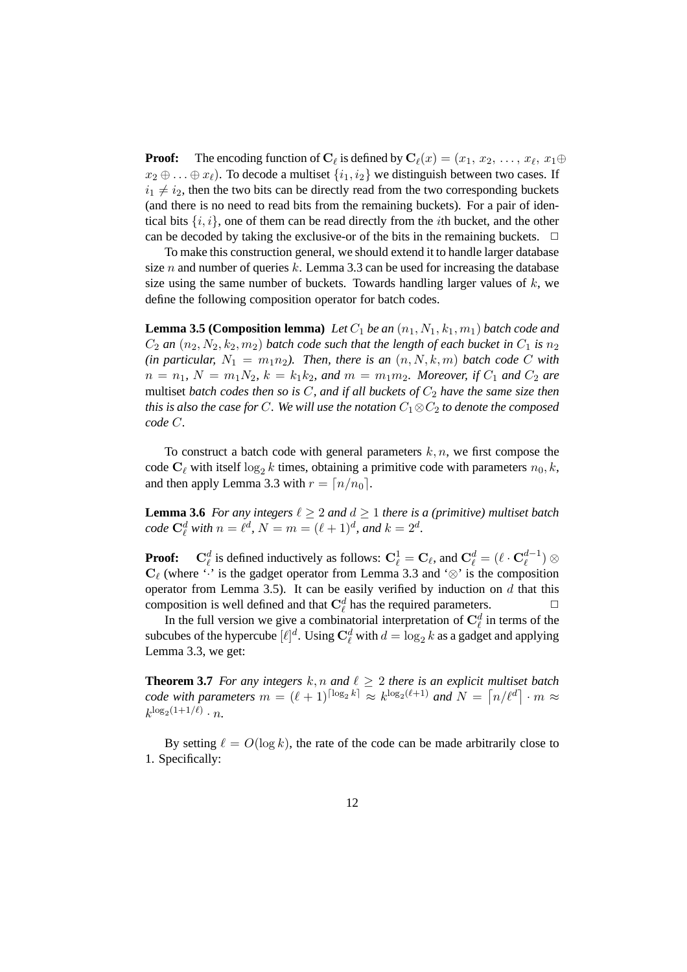**Proof:** The encoding function of  $C_\ell$  is defined by  $C_\ell(x) = (x_1, x_2, \ldots, x_\ell, x_1 \oplus$  $x_2 \oplus \ldots \oplus x_\ell$ ). To decode a multiset  $\{i_1, i_2\}$  we distinguish between two cases. If  $i_1 \neq i_2$ , then the two bits can be directly read from the two corresponding buckets (and there is no need to read bits from the remaining buckets). For a pair of identical bits  $\{i, i\}$ , one of them can be read directly from the *i*th bucket, and the other can be decoded by taking the exclusive-or of the bits in the remaining buckets.  $\Box$ 

To make this construction general, we should extend it to handle larger database size n and number of queries k. Lemma 3.3 can be used for increasing the database size using the same number of buckets. Towards handling larger values of  $k$ , we define the following composition operator for batch codes.

**Lemma 3.5 (Composition lemma)** Let  $C_1$  be an  $(n_1, N_1, k_1, m_1)$  batch code and  $C_2$  *an*  $(n_2, N_2, k_2, m_2)$  *batch code such that the length of each bucket in*  $C_1$  *is*  $n_2$  $(in$  particular,  $N_1 = m_1 n_2$ ). Then, there is an  $(n, N, k, m)$  batch code C with  $n = n_1$ ,  $N = m_1 N_2$ ,  $k = k_1 k_2$ , and  $m = m_1 m_2$ . Moreover, if  $C_1$  and  $C_2$  are multiset *batch codes then so is*  $C$ *, and if all buckets of*  $C_2$  *have the same size then this is also the case for* C. We will use the notation  $C_1 \otimes C_2$  to denote the composed *code* C*.*

To construct a batch code with general parameters  $k, n$ , we first compose the code  $C_\ell$  with itself  $\log_2 k$  times, obtaining a primitive code with parameters  $n_0, k$ , and then apply Lemma 3.3 with  $r = \lfloor n/n_0 \rfloor$ .

**Lemma 3.6** *For any integers*  $\ell \geq 2$  *and*  $d \geq 1$  *there is a (primitive) multiset batch code*  $C_{\ell}^d$  *with*  $n = \ell^d$ ,  $N = m = (\ell + 1)^d$ *, and*  $k = 2^d$ *.* 

**Proof:**  $C_{\ell}^d$  is defined inductively as follows:  $C_{\ell}^1 = C_{\ell}$ , and  $C_{\ell}^d = (\ell \cdot C_{\ell}^{d-1})$  $_{\ell}^{a-1})\otimes$  $C_f$  (where '·' is the gadget operator from Lemma 3.3 and '⊗' is the composition operator from Lemma 3.5). It can be easily verified by induction on  $d$  that this composition is well defined and that  $\mathbf{C}_{\ell}^{d}$  has the required parameters.

In the full version we give a combinatorial interpretation of  $\mathbf{C}_{\ell}^{d}$  in terms of the subcubes of the hypercube  $[\ell]^d$ . Using  $\mathbf{C}_{\ell}^d$  with  $d = \log_2 k$  as a gadget and applying Lemma 3.3, we get:

**Theorem 3.7** *For any integers*  $k, n$  *and*  $\ell \geq 2$  *there is an explicit multiset batch code with parameters*  $m = (\ell + 1)^{\lceil \log_2 k \rceil} \approx k^{\log_2(\ell+1)}$  *and*  $N = \lceil n / \ell^d \rceil \cdot m \approx$  $k^{\log_2(1+1/\ell)} \cdot n$ .

By setting  $\ell = O(\log k)$ , the rate of the code can be made arbitrarily close to 1. Specifically: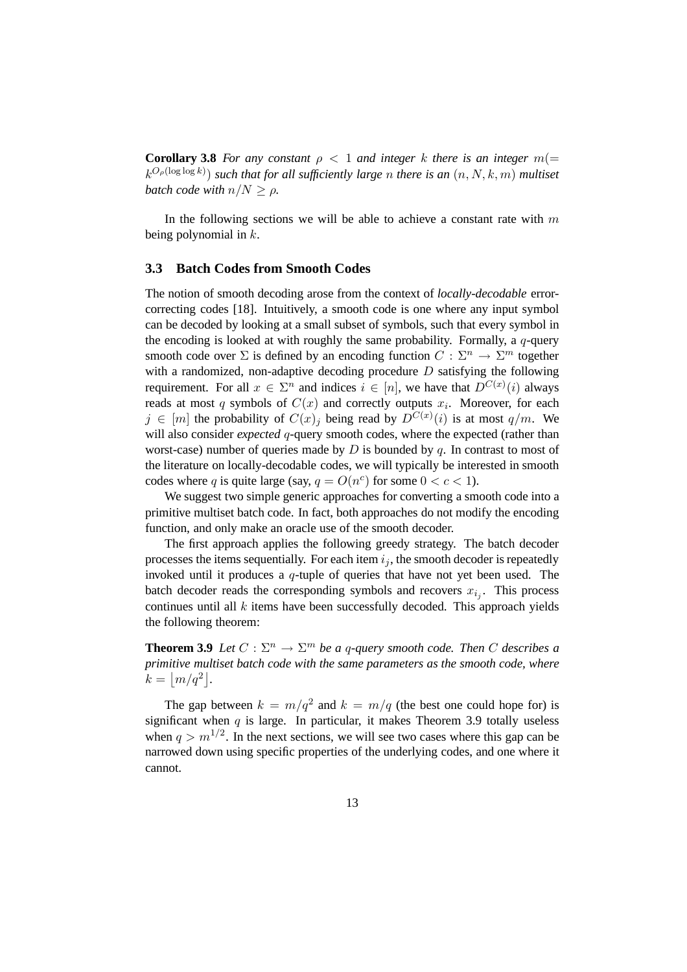**Corollary 3.8** *For any constant*  $\rho < 1$  *and integer* k *there is an integer*  $m(=$  $(k^{O_\rho(\log\log k)})$  such that for all sufficiently large n there is an  $(n, N, k, m)$  multiset *batch code with*  $n/N \geq \rho$ .

In the following sections we will be able to achieve a constant rate with  $m$ being polynomial in  $k$ .

#### **3.3 Batch Codes from Smooth Codes**

The notion of smooth decoding arose from the context of *locally-decodable* errorcorrecting codes [18]. Intuitively, a smooth code is one where any input symbol can be decoded by looking at a small subset of symbols, such that every symbol in the encoding is looked at with roughly the same probability. Formally, a  $q$ -query smooth code over  $\Sigma$  is defined by an encoding function  $C: \Sigma^n \to \Sigma^m$  together with a randomized, non-adaptive decoding procedure  $D$  satisfying the following requirement. For all  $x \in \Sigma^n$  and indices  $i \in [n]$ , we have that  $D^{C(x)}(i)$  always reads at most q symbols of  $C(x)$  and correctly outputs  $x_i$ . Moreover, for each  $j \in [m]$  the probability of  $C(x)_j$  being read by  $D^{C(x)}(i)$  is at most  $q/m$ . We will also consider *expected* q-query smooth codes, where the expected (rather than worst-case) number of queries made by  $D$  is bounded by  $q$ . In contrast to most of the literature on locally-decodable codes, we will typically be interested in smooth codes where q is quite large (say,  $q = O(n^c)$  for some  $0 < c < 1$ ).

We suggest two simple generic approaches for converting a smooth code into a primitive multiset batch code. In fact, both approaches do not modify the encoding function, and only make an oracle use of the smooth decoder.

The first approach applies the following greedy strategy. The batch decoder processes the items sequentially. For each item  $i_j$ , the smooth decoder is repeatedly invoked until it produces a q-tuple of queries that have not yet been used. The batch decoder reads the corresponding symbols and recovers  $x_{i_j}$ . This process continues until all  $k$  items have been successfully decoded. This approach yields the following theorem:

**Theorem 3.9** *Let*  $C : \Sigma^n \to \Sigma^m$  *be a q-query smooth code. Then*  $C$  *describes a primitive multiset batch code with the same parameters as the smooth code, where*  $k = |m/q^2|$ .

The gap between  $k = m/q^2$  and  $k = m/q$  (the best one could hope for) is significant when  $q$  is large. In particular, it makes Theorem 3.9 totally useless when  $q > m^{1/2}$ . In the next sections, we will see two cases where this gap can be narrowed down using specific properties of the underlying codes, and one where it cannot.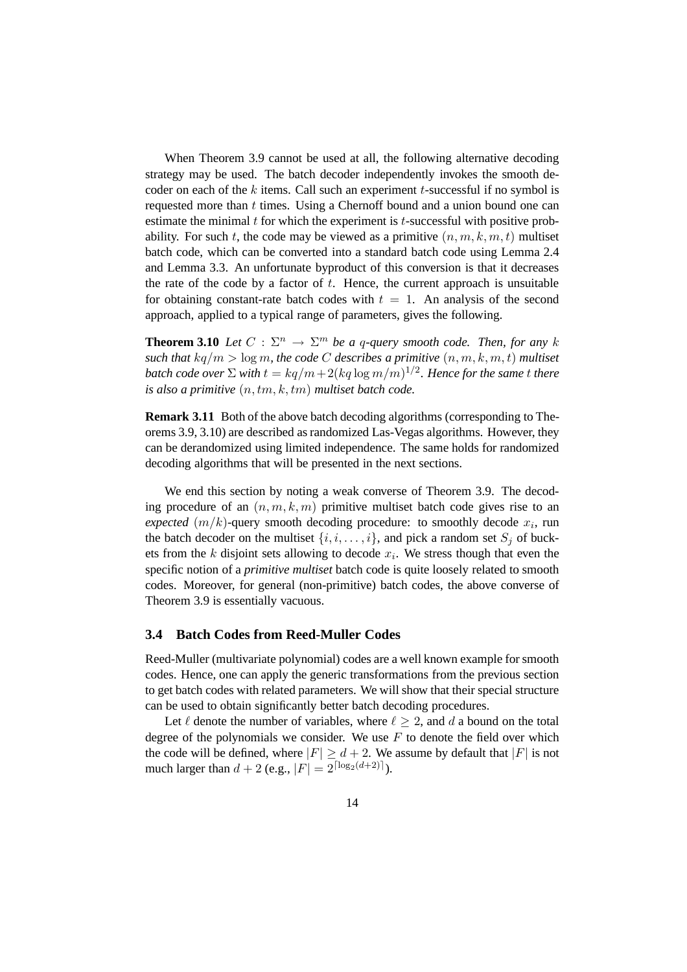When Theorem 3.9 cannot be used at all, the following alternative decoding strategy may be used. The batch decoder independently invokes the smooth decoder on each of the  $k$  items. Call such an experiment  $t$ -successful if no symbol is requested more than  $t$  times. Using a Chernoff bound and a union bound one can estimate the minimal  $t$  for which the experiment is  $t$ -successful with positive probability. For such t, the code may be viewed as a primitive  $(n, m, k, m, t)$  multiset batch code, which can be converted into a standard batch code using Lemma 2.4 and Lemma 3.3. An unfortunate byproduct of this conversion is that it decreases the rate of the code by a factor of  $t$ . Hence, the current approach is unsuitable for obtaining constant-rate batch codes with  $t = 1$ . An analysis of the second approach, applied to a typical range of parameters, gives the following.

**Theorem 3.10** *Let*  $C : \Sigma^n \to \Sigma^m$  *be a q-query smooth code. Then, for any* k *such that*  $kq/m > log m$ *, the code C describes a primitive*  $(n, m, k, m, t)$  *multiset* batch code over  $\Sigma$  with  $t = kq/m + 2(kq\log m/m)^{1/2}$ . Hence for the same  $t$  there *is also a primitive* (n, tm, k, tm) *multiset batch code.*

**Remark 3.11** Both of the above batch decoding algorithms (corresponding to Theorems 3.9, 3.10) are described as randomized Las-Vegas algorithms. However, they can be derandomized using limited independence. The same holds for randomized decoding algorithms that will be presented in the next sections.

We end this section by noting a weak converse of Theorem 3.9. The decoding procedure of an  $(n, m, k, m)$  primitive multiset batch code gives rise to an *expected*  $(m/k)$ -query smooth decoding procedure: to smoothly decode  $x_i$ , run the batch decoder on the multiset  $\{i, i, \ldots, i\}$ , and pick a random set  $S_i$  of buckets from the  $k$  disjoint sets allowing to decode  $x_i$ . We stress though that even the specific notion of a *primitive multiset* batch code is quite loosely related to smooth codes. Moreover, for general (non-primitive) batch codes, the above converse of Theorem 3.9 is essentially vacuous.

#### **3.4 Batch Codes from Reed-Muller Codes**

Reed-Muller (multivariate polynomial) codes are a well known example for smooth codes. Hence, one can apply the generic transformations from the previous section to get batch codes with related parameters. We will show that their special structure can be used to obtain significantly better batch decoding procedures.

Let  $\ell$  denote the number of variables, where  $\ell > 2$ , and d a bound on the total degree of the polynomials we consider. We use  $F$  to denote the field over which the code will be defined, where  $|F| \ge d + 2$ . We assume by default that  $|F|$  is not much larger than  $d + 2$  (e.g.,  $|F| = 2^{\lceil \log_2(d+2) \rceil}$ ).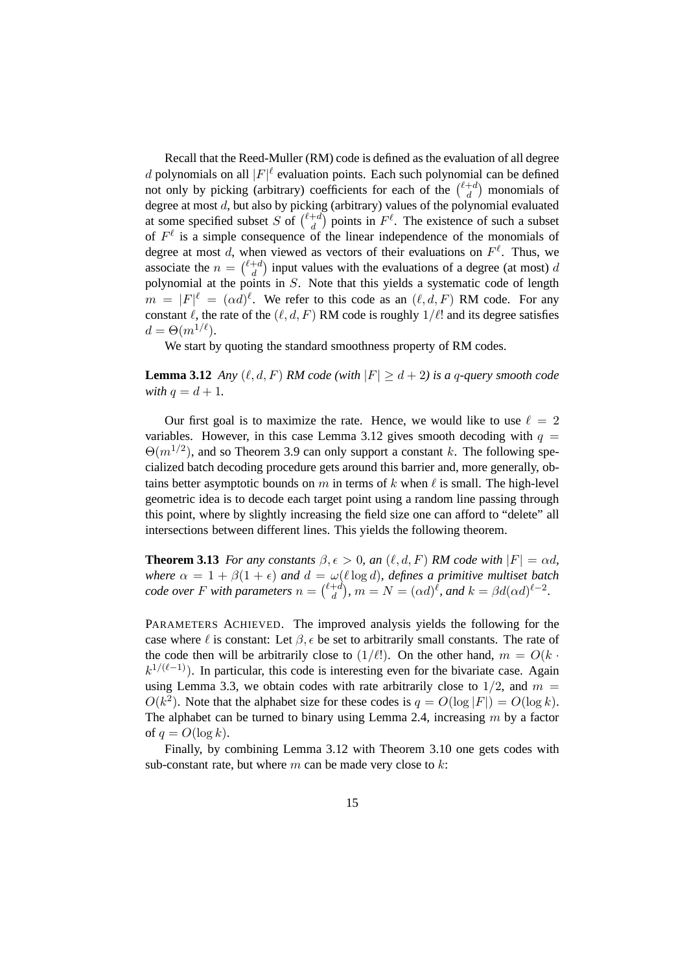Recall that the Reed-Muller (RM) code is defined as the evaluation of all degree *d* polynomials on all  $|F|^\ell$  evaluation points. Each such polynomial can be defined not only by picking (arbitrary) coefficients for each of the  $\binom{\ell+d}{d}$  $\binom{+d}{d}$  monomials of degree at most  $d$ , but also by picking (arbitrary) values of the polynomial evaluated at some specified subset S of  $\binom{\ell+d}{d}$  $\binom{+d}{d}$  points in  $F^{\ell}$ . The existence of such a subset of  $F^{\ell}$  is a simple consequence of the linear independence of the monomials of degree at most d, when viewed as vectors of their evaluations on  $F^{\ell}$ . Thus, we associate the  $n = \begin{pmatrix} \ell+d \\ d \end{pmatrix}$  $\binom{+d}{d}$  input values with the evaluations of a degree (at most) d polynomial at the points in S. Note that this yields a systematic code of length  $m = |F|^{\ell} = (\alpha d)^{\ell}$ . We refer to this code as an  $(\ell, d, F)$  RM code. For any constant  $\ell$ , the rate of the  $(\ell, d, F)$  RM code is roughly  $1/\ell!$  and its degree satisfies  $d = \Theta(m^{1/\ell}).$ 

We start by quoting the standard smoothness property of RM codes.

**Lemma 3.12** *Any*  $(\ell, d, F)$  *RM code* (with  $|F| \ge d + 2$ ) *is a q-query smooth code with*  $q = d + 1$ *.* 

Our first goal is to maximize the rate. Hence, we would like to use  $\ell = 2$ variables. However, in this case Lemma 3.12 gives smooth decoding with  $q =$  $\Theta(m^{1/2})$ , and so Theorem 3.9 can only support a constant k. The following specialized batch decoding procedure gets around this barrier and, more generally, obtains better asymptotic bounds on m in terms of k when  $\ell$  is small. The high-level geometric idea is to decode each target point using a random line passing through this point, where by slightly increasing the field size one can afford to "delete" all intersections between different lines. This yields the following theorem.

**Theorem 3.13** *For any constants*  $\beta, \epsilon > 0$ *, an*  $(\ell, d, F)$  *RM code with*  $|F| = \alpha d$ , *where*  $\alpha = 1 + \beta(1 + \epsilon)$  *and*  $d = \omega(\ell \log d)$ *, defines a primitive multiset batch code over* F with parameters  $n = \binom{\ell+d}{d}$  $\int_{d}^{+d}$ ,  $m = N = (\alpha d)^{\ell}$ , and  $k = \beta d(\alpha d)^{\ell-2}$ .

PARAMETERS ACHIEVED. The improved analysis yields the following for the case where  $\ell$  is constant: Let  $\beta$ ,  $\epsilon$  be set to arbitrarily small constants. The rate of the code then will be arbitrarily close to  $(1/\ell!)$ . On the other hand,  $m = O(k \cdot \ell!)$  $k^{1/(\ell-1)}$ ). In particular, this code is interesting even for the bivariate case. Again using Lemma 3.3, we obtain codes with rate arbitrarily close to  $1/2$ , and  $m =$  $O(k^2)$ . Note that the alphabet size for these codes is  $q = O(\log |F|) = O(\log k)$ . The alphabet can be turned to binary using Lemma 2.4, increasing  $m$  by a factor of  $q = O(\log k)$ .

Finally, by combining Lemma 3.12 with Theorem 3.10 one gets codes with sub-constant rate, but where  $m$  can be made very close to  $k$ :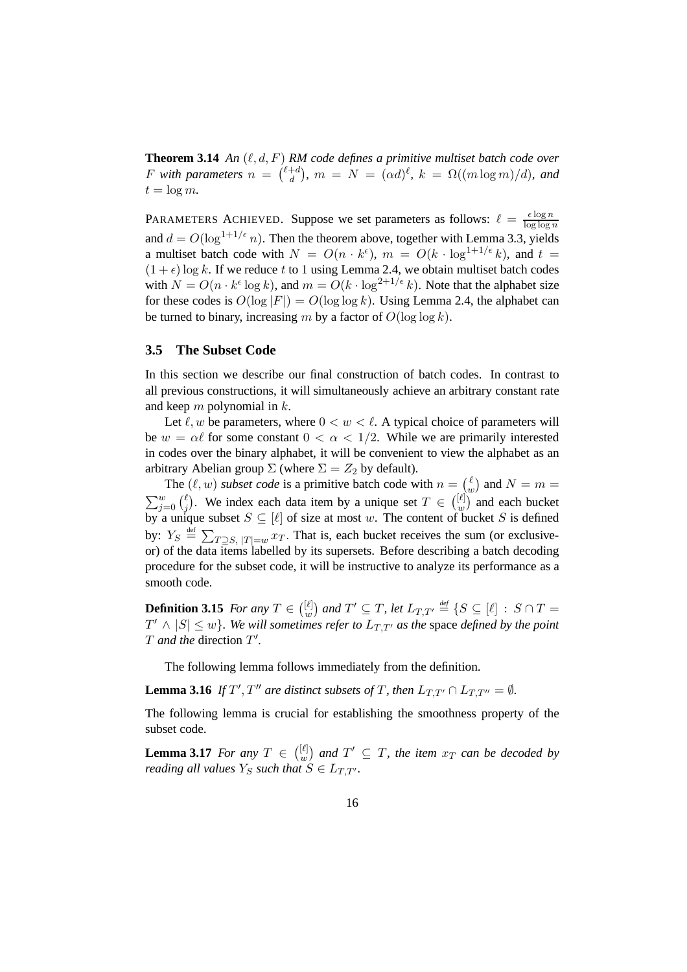**Theorem 3.14** *An*  $(\ell, d, F)$  *RM code defines a primitive multiset batch code over* F with parameters  $n = \begin{pmatrix} \ell + d \\ d \end{pmatrix}$  $\int_{d}^{+d}$ ),  $m = N = (\alpha d)^{\ell}$ ,  $k = \Omega((m \log m)/d)$ , and  $t = \log m$ .

PARAMETERS ACHIEVED. Suppose we set parameters as follows:  $\ell = \frac{\epsilon \log n}{\log \log n}$  $\log \log n$ and  $d = O(\log^{1+1/\epsilon} n)$ . Then the theorem above, together with Lemma 3.3, yields a multiset batch code with  $N = O(n \cdot k^{\epsilon})$ ,  $m = O(k \cdot \log^{1+1/\epsilon} k)$ , and  $t =$  $(1 + \epsilon) \log k$ . If we reduce t to 1 using Lemma 2.4, we obtain multiset batch codes with  $N = O(n \cdot k^{\epsilon} \log k)$ , and  $m = O(k \cdot \log^{2+1/\epsilon} k)$ . Note that the alphabet size for these codes is  $O(\log |F|) = O(\log \log k)$ . Using Lemma 2.4, the alphabet can be turned to binary, increasing m by a factor of  $O(\log \log k)$ .

#### **3.5 The Subset Code**

In this section we describe our final construction of batch codes. In contrast to all previous constructions, it will simultaneously achieve an arbitrary constant rate and keep  $m$  polynomial in  $k$ .

Let  $\ell, w$  be parameters, where  $0 < w < \ell$ . A typical choice of parameters will be  $w = \alpha \ell$  for some constant  $0 < \alpha < 1/2$ . While we are primarily interested in codes over the binary alphabet, it will be convenient to view the alphabet as an arbitrary Abelian group  $\Sigma$  (where  $\Sigma = Z_2$  by default).

The  $(\ell, w)$  *subset code* is a primitive batch code with  $n = \binom{\ell}{w}$  $\binom{m}{w}$  and  $N = m =$  $\sum_{j=0}^{w} \binom{\ell}{j}$  $\binom{\ell}{j}$ . We index each data item by a unique set  $T \in \binom{[\ell]}{w}$  $\binom{[l]}{w}$  and each bucket by a unique subset  $S \subseteq [\ell]$  of size at most w. The content of bucket S is defined by:  $Y_S \triangleq \sum_{T \supseteq S, |T|=w} x_T$ . That is, each bucket receives the sum (or exclusiveor) of the data items labelled by its supersets. Before describing a batch decoding procedure for the subset code, it will be instructive to analyze its performance as a smooth code.

**Definition 3.15** *For any*  $T \in \binom{[\ell]}{w}$  $\left[\begin{smallmatrix}\ell\cr w\end{smallmatrix}\right]$  and  $T'\subseteq T$ , let  $L_{T,T'}\stackrel{\scriptscriptstyle\it def}{=}\{S\subseteq [\ell]\,:\,S\cap T=\emptyset\}$  $T' \wedge |S| \leq w$ }. We will sometimes refer to  $L_{T,T'}$  as the space *defined by the point* T *and the* direction T 0 *.*

The following lemma follows immediately from the definition.

**Lemma 3.16** *If*  $T'$ ,  $T''$  are distinct subsets of T, then  $L_{T,T'} \cap L_{T,T''} = \emptyset$ *.* 

The following lemma is crucial for establishing the smoothness property of the subset code.

**Lemma 3.17** *For any*  $T \in \binom{[\ell]}{w}$  $\left[\begin{smallmatrix}\ell\| \ w\end{smallmatrix}\right]$  and  $T'\subseteq T$ , the item  $x_T$  *can be decoded by reading all values*  $Y_S$  *such that*  $S \in L_{T,T}$ *.*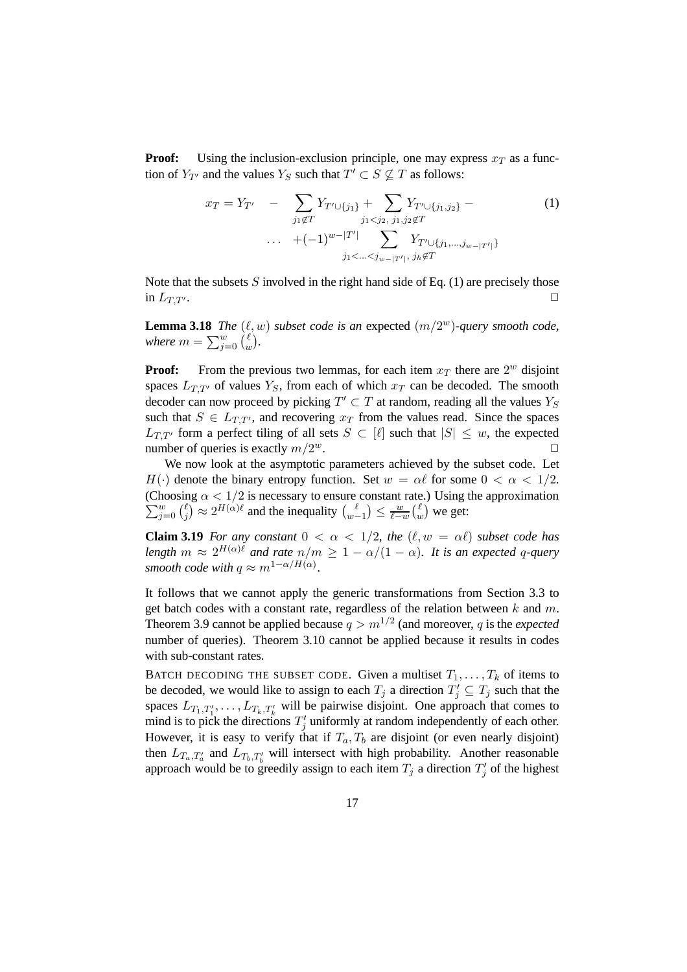**Proof:** Using the inclusion-exclusion principle, one may express  $x_T$  as a function of  $Y_{T'}$  and the values  $Y_S$  such that  $T' \subset S \nsubseteq T$  as follows:

$$
x_T = Y_{T'} - \sum_{j_1 \notin T} Y_{T' \cup \{j_1\}} + \sum_{j_1 < j_2, \ j_1, j_2 \notin T} Y_{T' \cup \{j_1, j_2\}} - \tag{1}
$$
\n
$$
\cdots + (-1)^{w - |T'|} \sum_{j_1 < \dots < j_{w - |T'|}, \ j_k \notin T} Y_{T' \cup \{j_1, \dots, j_{w - |T'|}\}}
$$

Note that the subsets  $S$  involved in the right hand side of Eq. (1) are precisely those in  $L_{T,T}$ .

**Lemma 3.18** *The*  $(\ell, w)$  *subset code is an expected*  $(m/2^w)$ *-query smooth code,* where  $m=\sum_{j=0}^w\binom{\ell}{u}$ w *.*

**Proof:** From the previous two lemmas, for each item  $x_T$  there are  $2^w$  disjoint spaces  $L_{T,T'}$  of values  $Y_s$ , from each of which  $x_T$  can be decoded. The smooth decoder can now proceed by picking  $T' \subset T$  at random, reading all the values  $Y_S$ such that  $S \in L_{TT'}$ , and recovering  $x_T$  from the values read. Since the spaces  $L_{T,T'}$  form a perfect tiling of all sets  $S \subset [\ell]$  such that  $|S| \leq w$ , the expected number of queries is exactly  $m/2^w$ . number of queries is exactly  $m/2^w$ .  $w$ .

We now look at the asymptotic parameters achieved by the subset code. Let  $H(\cdot)$  denote the binary entropy function. Set  $w = \alpha \ell$  for some  $0 < \alpha < 1/2$ .  $\sum_{j=0}^w {\ell \choose j}$ (Choosing  $\alpha < 1/2$  is necessary to ensure constant rate.) Using the approximation  $\binom{\ell}{j} \approx 2^{H(\alpha)\ell}$  and the inequality  $\binom{\ell}{w-1}$  $\binom{\ell}{w-1} \leq \frac{w}{\ell-w}$  $\frac{w}{\ell-w}\binom{\ell}{u}$  $\binom{\ell}{w}$  we get:

**Claim 3.19** *For any constant*  $0 < \alpha < 1/2$ *, the*  $(\ell, w = \alpha \ell)$  *subset code has length*  $m \approx 2^{H(\alpha)\ell}$  *and rate*  $n/m \ge 1 - \alpha/(1 - \alpha)$ *. It is an expected q-query smooth code with*  $q \approx m^{1-\alpha/H(\alpha)}$ *.* 

It follows that we cannot apply the generic transformations from Section 3.3 to get batch codes with a constant rate, regardless of the relation between  $k$  and  $m$ . Theorem 3.9 cannot be applied because  $q > m^{1/2}$  (and moreover, q is the *expected* number of queries). Theorem 3.10 cannot be applied because it results in codes with sub-constant rates.

BATCH DECODING THE SUBSET CODE. Given a multiset  $T_1, \ldots, T_k$  of items to be decoded, we would like to assign to each  $T_j$  a direction  $T'_j \subseteq T_j$  such that the spaces  $L_{T_1,T'_1}, \ldots, L_{T_k,T'_k}$  will be pairwise disjoint. One approach that comes to mind is to pick the directions  $T'_j$  uniformly at random independently of each other. However, it is easy to verify that if  $T_a, T_b$  are disjoint (or even nearly disjoint) then  $L_{T_a,T'_a}$  and  $L_{T_b,T'_b}$  will intersect with high probability. Another reasonable approach would be to greedily assign to each item  $T_j$  a direction  $T'_j$  of the highest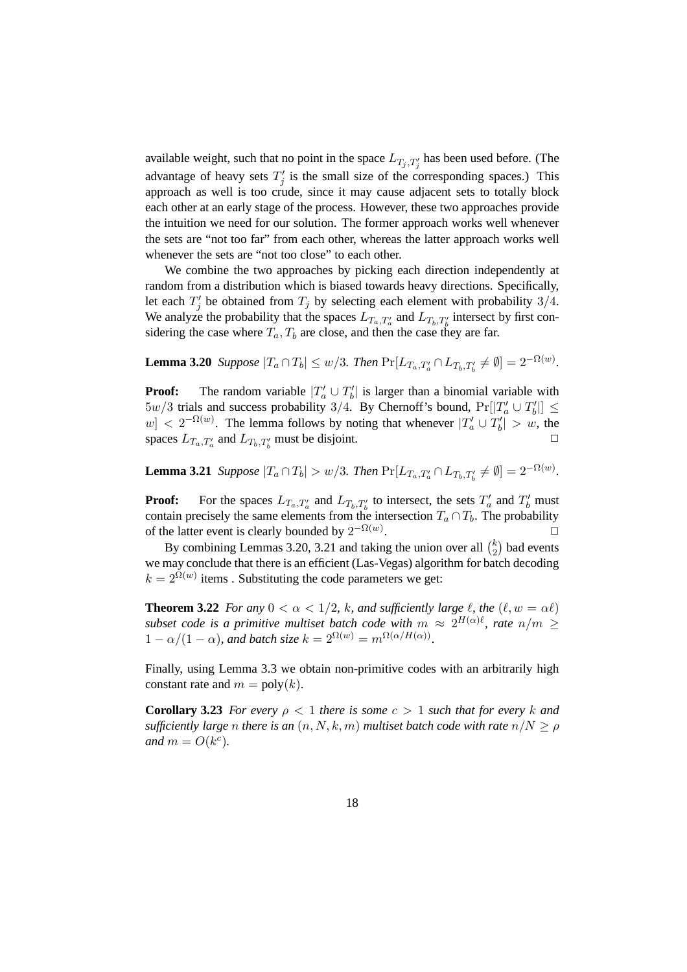available weight, such that no point in the space  $L_{T_j,T'_j}$  has been used before. (The advantage of heavy sets  $T'_j$  is the small size of the corresponding spaces.) This approach as well is too crude, since it may cause adjacent sets to totally block each other at an early stage of the process. However, these two approaches provide the intuition we need for our solution. The former approach works well whenever the sets are "not too far" from each other, whereas the latter approach works well whenever the sets are "not too close" to each other.

We combine the two approaches by picking each direction independently at random from a distribution which is biased towards heavy directions. Specifically, let each  $T'_j$  be obtained from  $T_j$  by selecting each element with probability 3/4. We analyze the probability that the spaces  $L_{T_a,T'_a}$  and  $L_{T_b,T'_b}$  intersect by first considering the case where  $T_a$ ,  $T_b$  are close, and then the case they are far.

**Lemma 3.20** *Suppose*  $|T_a \cap T_b| \leq w/3$ *. Then*  $Pr[L_{T_a,T'_a} \cap L_{T_b,T'_b} \neq \emptyset] = 2^{-\Omega(w)}$ *.* 

**Proof:** The random variable  $|T'_a \cup T'_b|$  is larger than a binomial variable with  $5w/3$  trials and success probability 3/4. By Chernoff's bound,  $Pr[|T_a' \cup T_b'|] \le$  $|w| < 2^{-\Omega(w)}$ . The lemma follows by noting that whenever  $|T'_a \cup T'_b| > w$ , the spaces  $L_{T_a,T'_a}$  and  $L_{T_b,T'_b}$  must be disjoint.

**Lemma 3.21** *Suppose*  $|T_a \cap T_b| > w/3$ *. Then*  $Pr[L_{T_a,T'_a} \cap L_{T_b,T'_b} \neq \emptyset] = 2^{-\Omega(w)}$ *.* 

**Proof:** For the spaces  $L_{T_a,T'_a}$  and  $L_{T_b,T'_b}$  to intersect, the sets  $T'_a$  and  $T'_b$  must contain precisely the same elements from the intersection  $T_a \cap T_b$ . The probability of the latter event is clearly bounded by  $2^{-\Omega(w)}$ .  $\Box$ 

By combining Lemmas 3.20, 3.21 and taking the union over all  $\binom{k}{2}$  $\binom{k}{2}$  bad events we may conclude that there is an efficient (Las-Vegas) algorithm for batch decoding  $k = 2^{\Omega(w)}$  items. Substituting the code parameters we get:

**Theorem 3.22** *For any*  $0 < \alpha < 1/2$ *, k, and sufficiently large*  $\ell$ *, the*  $(\ell, w = \alpha \ell)$ *subset code is a primitive multiset batch code with*  $m \approx 2^{H(\alpha)\ell}$ , rate  $n/m \geq$  $1 - \alpha/(1 - \alpha)$ , and batch size  $k = 2^{\Omega(w)} = m^{\Omega(\alpha/H(\alpha))}$ .

Finally, using Lemma 3.3 we obtain non-primitive codes with an arbitrarily high constant rate and  $m = \text{poly}(k)$ .

**Corollary 3.23** *For every*  $\rho < 1$  *there is some*  $c > 1$  *such that for every* k and *sufficiently large n there is an*  $(n, N, k, m)$  *multiset batch code with rate*  $n/N \ge \rho$ *and*  $m = O(k^c)$ *.*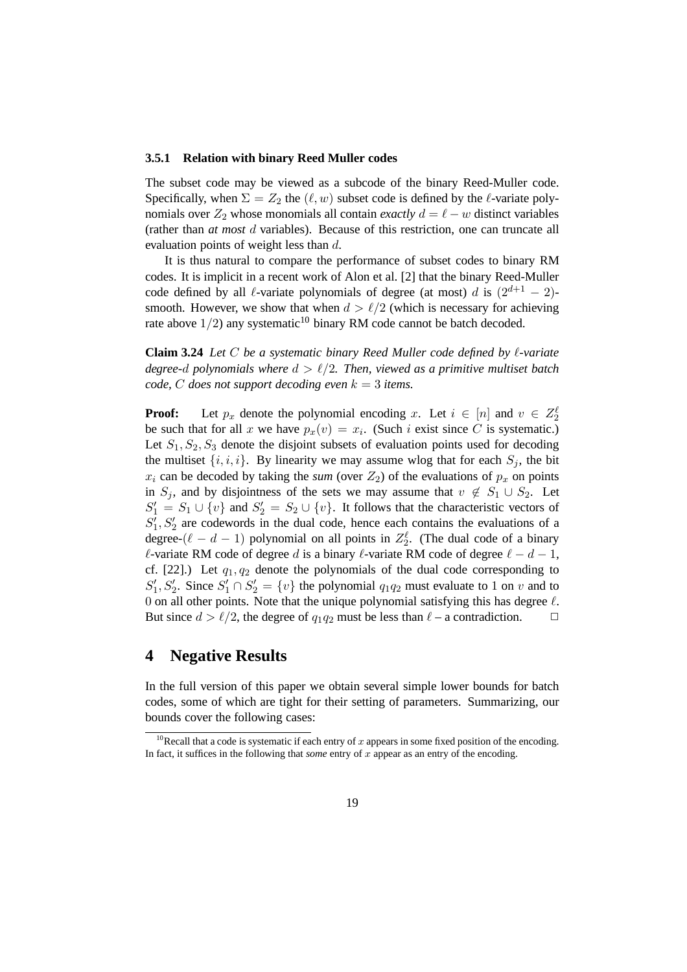#### **3.5.1 Relation with binary Reed Muller codes**

The subset code may be viewed as a subcode of the binary Reed-Muller code. Specifically, when  $\Sigma = Z_2$  the  $(\ell, w)$  subset code is defined by the  $\ell$ -variate polynomials over  $Z_2$  whose monomials all contain *exactly*  $d = \ell - w$  distinct variables (rather than *at most* d variables). Because of this restriction, one can truncate all evaluation points of weight less than d.

It is thus natural to compare the performance of subset codes to binary RM codes. It is implicit in a recent work of Alon et al. [2] that the binary Reed-Muller code defined by all  $\ell$ -variate polynomials of degree (at most) d is  $(2^{d+1} - 2)$ smooth. However, we show that when  $d > \ell/2$  (which is necessary for achieving rate above  $1/2$ ) any systematic<sup>10</sup> binary RM code cannot be batch decoded.

**Claim 3.24** *Let* C *be a systematic binary Reed Muller code defined by*  $\ell$ *-variate degree-d polynomials where*  $d > l/2$ *. Then, viewed as a primitive multiset batch code,*  $C$  *does not support decoding even*  $k = 3$  *items.* 

**Proof:** Let  $p_x$  denote the polynomial encoding x. Let  $i \in [n]$  and  $v \in Z_2^{\ell}$ be such that for all x we have  $p_x(v) = x_i$ . (Such i exist since C is systematic.) Let  $S_1, S_2, S_3$  denote the disjoint subsets of evaluation points used for decoding the multiset  $\{i, i, i\}$ . By linearity we may assume wlog that for each  $S_i$ , the bit  $x_i$  can be decoded by taking the *sum* (over  $Z_2$ ) of the evaluations of  $p_x$  on points in S<sub>j</sub>, and by disjointness of the sets we may assume that  $v \notin S_1 \cup S_2$ . Let  $S'_1 = S_1 \cup \{v\}$  and  $S'_2 = S_2 \cup \{v\}$ . It follows that the characteristic vectors of  $S_1, S_2$  are codewords in the dual code, hence each contains the evaluations of a degree- $(\ell - d - 1)$  polynomial on all points in  $Z_2^{\ell}$ . (The dual code of a binary  $\ell$ -variate RM code of degree d is a binary  $\ell$ -variate RM code of degree  $\ell - d - 1$ , cf. [22].) Let  $q_1, q_2$  denote the polynomials of the dual code corresponding to  $S'_1, S'_2$ . Since  $S'_1 \cap S'_2 = \{v\}$  the polynomial  $q_1q_2$  must evaluate to 1 on v and to 0 on all other points. Note that the unique polynomial satisfying this has degree  $\ell$ . But since  $d > l/2$ , the degree of  $q_1q_2$  must be less than  $l - a$  contradiction.  $\Box$ 

## **4 Negative Results**

In the full version of this paper we obtain several simple lower bounds for batch codes, some of which are tight for their setting of parameters. Summarizing, our bounds cover the following cases:

<sup>&</sup>lt;sup>10</sup>Recall that a code is systematic if each entry of x appears in some fixed position of the encoding. In fact, it suffices in the following that *some* entry of x appear as an entry of the encoding.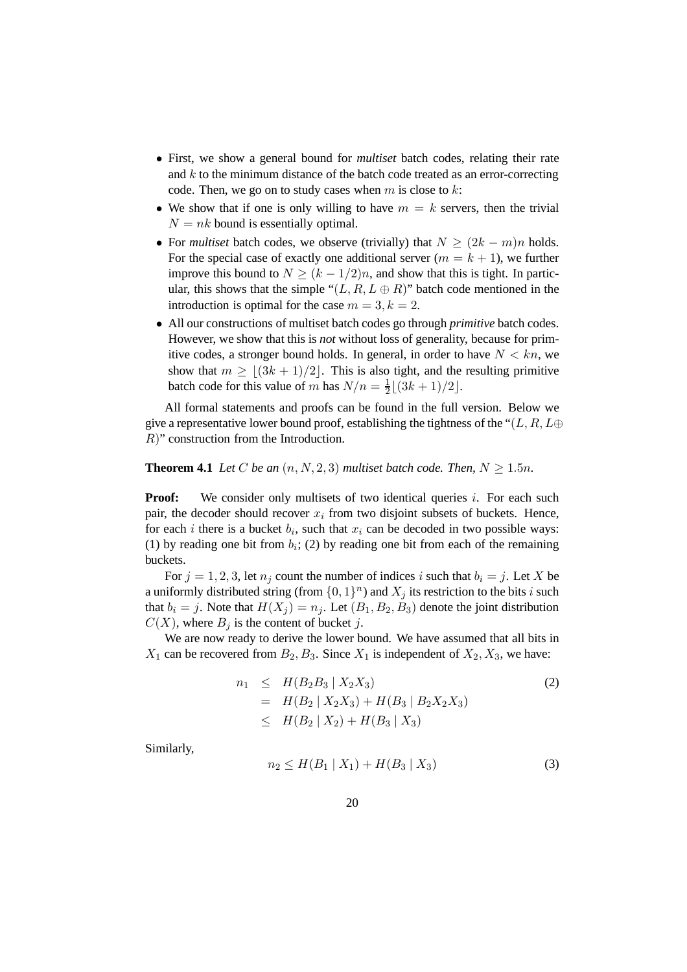- First, we show a general bound for *multiset* batch codes, relating their rate and  $k$  to the minimum distance of the batch code treated as an error-correcting code. Then, we go on to study cases when  $m$  is close to  $k$ :
- We show that if one is only willing to have  $m = k$  servers, then the trivial  $N = nk$  bound is essentially optimal.
- For *multiset* batch codes, we observe (trivially) that  $N > (2k m)n$  holds. For the special case of exactly one additional server  $(m = k + 1)$ , we further improve this bound to  $N \ge (k - 1/2)n$ , and show that this is tight. In particular, this shows that the simple " $(L, R, L \oplus R)$ " batch code mentioned in the introduction is optimal for the case  $m = 3, k = 2$ .
- All our constructions of multiset batch codes go through *primitive* batch codes. However, we show that this is *not* without loss of generality, because for primitive codes, a stronger bound holds. In general, in order to have  $N < kn$ , we show that  $m \geq \lfloor (3k + 1)/2 \rfloor$ . This is also tight, and the resulting primitive batch code for this value of m has  $N/n = \frac{1}{2}$  $\frac{1}{2}[(3k+1)/2].$

All formal statements and proofs can be found in the full version. Below we give a representative lower bound proof, establishing the tightness of the " $(L, R, L \oplus$ R)" construction from the Introduction.

**Theorem 4.1** *Let* C *be an*  $(n, N, 2, 3)$  *multiset batch code. Then,*  $N \ge 1.5n$ *.* 

**Proof:** We consider only multisets of two identical queries i. For each such pair, the decoder should recover  $x_i$  from two disjoint subsets of buckets. Hence, for each *i* there is a bucket  $b_i$ , such that  $x_i$  can be decoded in two possible ways: (1) by reading one bit from  $b_i$ ; (2) by reading one bit from each of the remaining buckets.

For  $j = 1, 2, 3$ , let  $n_j$  count the number of indices i such that  $b_i = j$ . Let X be a uniformly distributed string (from  $\{0, 1\}^n$ ) and  $X_j$  its restriction to the bits i such that  $b_i = j$ . Note that  $H(X_i) = n_i$ . Let  $(B_1, B_2, B_3)$  denote the joint distribution  $C(X)$ , where  $B_i$  is the content of bucket j.

We are now ready to derive the lower bound. We have assumed that all bits in  $X_1$  can be recovered from  $B_2, B_3$ . Since  $X_1$  is independent of  $X_2, X_3$ , we have:

$$
n_1 \leq H(B_2B_3 | X_2X_3)
$$
  
=  $H(B_2 | X_2X_3) + H(B_3 | B_2X_2X_3)$   
 $\leq H(B_2 | X_2) + H(B_3 | X_3)$  (2)

Similarly,

$$
n_2 \le H(B_1 \mid X_1) + H(B_3 \mid X_3) \tag{3}
$$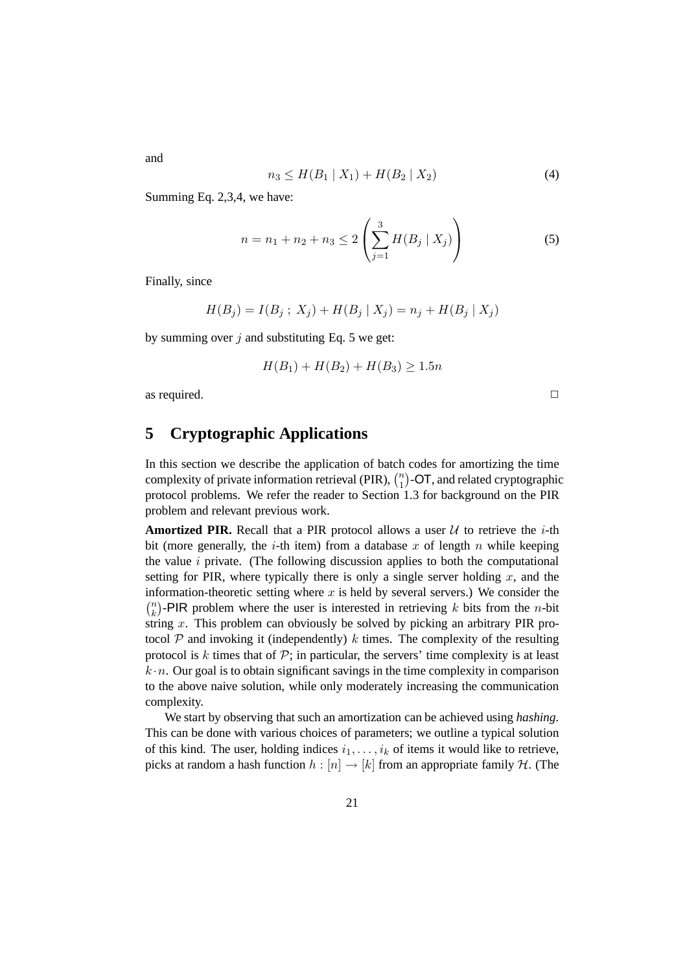$$
n_3 \le H(B_1 \mid X_1) + H(B_2 \mid X_2) \tag{4}
$$

Summing Eq. 2,3,4, we have:

$$
n = n_1 + n_2 + n_3 \le 2 \left( \sum_{j=1}^{3} H(B_j \mid X_j) \right)
$$
 (5)

Finally, since

$$
H(B_j) = I(B_j; X_j) + H(B_j | X_j) = n_j + H(B_j | X_j)
$$

by summing over  $j$  and substituting Eq. 5 we get:

$$
H(B_1) + H(B_2) + H(B_3) \ge 1.5n
$$

as required.  $\Box$ 

### **5 Cryptographic Applications**

In this section we describe the application of batch codes for amortizing the time complexity of private information retrieval (PIR),  $\binom{n}{1}$  $\binom{n}{1}$ -OT, and related cryptographic protocol problems. We refer the reader to Section 1.3 for background on the PIR problem and relevant previous work.

**Amortized PIR.** Recall that a PIR protocol allows a user  $U$  to retrieve the *i*-th bit (more generally, the *i*-th item) from a database x of length n while keeping the value  $i$  private. (The following discussion applies to both the computational setting for PIR, where typically there is only a single server holding  $x$ , and the information-theoretic setting where  $x$  is held by several servers.) We consider the  $\binom{n}{k}$  $\binom{n}{k}$ -PIR problem where the user is interested in retrieving k bits from the n-bit string x. This problem can obviously be solved by picking an arbitrary PIR protocol  $P$  and invoking it (independently) k times. The complexity of the resulting protocol is  $k$  times that of  $\mathcal{P}$ ; in particular, the servers' time complexity is at least  $k \cdot n$ . Our goal is to obtain significant savings in the time complexity in comparison to the above naive solution, while only moderately increasing the communication complexity.

We start by observing that such an amortization can be achieved using *hashing*. This can be done with various choices of parameters; we outline a typical solution of this kind. The user, holding indices  $i_1, \ldots, i_k$  of items it would like to retrieve, picks at random a hash function  $h : [n] \to [k]$  from an appropriate family H. (The

and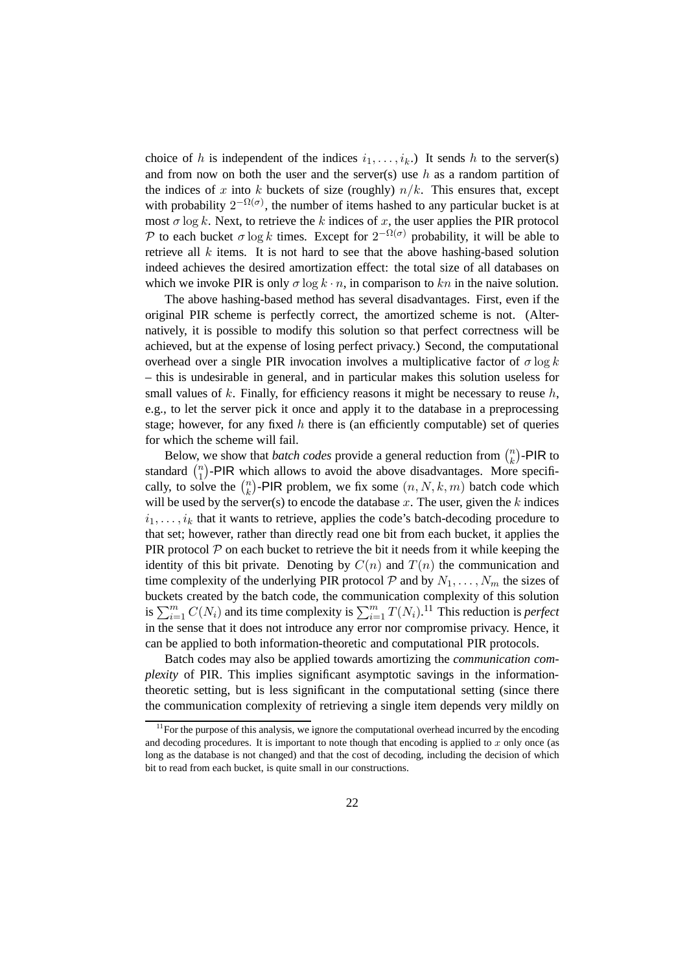choice of h is independent of the indices  $i_1, \ldots, i_k$ .) It sends h to the server(s) and from now on both the user and the server(s) use h as a random partition of the indices of x into k buckets of size (roughly)  $n/k$ . This ensures that, except with probability  $2^{-\Omega(\sigma)}$ , the number of items hashed to any particular bucket is at most  $\sigma$  log k. Next, to retrieve the k indices of x, the user applies the PIR protocol P to each bucket  $\sigma \log k$  times. Except for  $2^{-\Omega(\sigma)}$  probability, it will be able to retrieve all  $k$  items. It is not hard to see that the above hashing-based solution indeed achieves the desired amortization effect: the total size of all databases on which we invoke PIR is only  $\sigma \log k \cdot n$ , in comparison to kn in the naive solution.

The above hashing-based method has several disadvantages. First, even if the original PIR scheme is perfectly correct, the amortized scheme is not. (Alternatively, it is possible to modify this solution so that perfect correctness will be achieved, but at the expense of losing perfect privacy.) Second, the computational overhead over a single PIR invocation involves a multiplicative factor of  $\sigma \log k$ – this is undesirable in general, and in particular makes this solution useless for small values of  $k$ . Finally, for efficiency reasons it might be necessary to reuse  $h$ , e.g., to let the server pick it once and apply it to the database in a preprocessing stage; however, for any fixed h there is (an efficiently computable) set of queries for which the scheme will fail.

Below, we show that *batch codes* provide a general reduction from  $\binom{n}{k}$  $\binom{n}{k}$ -PIR to standard  $\binom{n}{1}$  $\binom{n}{1}$ -PIR which allows to avoid the above disadvantages. More specifically, to solve the  $\binom{n}{k}$  $\binom{n}{k}$ -PIR problem, we fix some  $(n, N, k, m)$  batch code which will be used by the server(s) to encode the database  $x$ . The user, given the  $k$  indices  $i_1, \ldots, i_k$  that it wants to retrieve, applies the code's batch-decoding procedure to that set; however, rather than directly read one bit from each bucket, it applies the PIR protocol  $P$  on each bucket to retrieve the bit it needs from it while keeping the identity of this bit private. Denoting by  $C(n)$  and  $T(n)$  the communication and time complexity of the underlying PIR protocol  $P$  and by  $N_1, \ldots, N_m$  the sizes of buckets created by the batch code, the communication complexity of this solution is  $\sum_{i=1}^{m} C(N_i)$  and its time complexity is  $\sum_{i=1}^{m} T(N_i)$ .<sup>11</sup> This reduction is *perfect* in the sense that it does not introduce any error nor compromise privacy. Hence, it can be applied to both information-theoretic and computational PIR protocols.

Batch codes may also be applied towards amortizing the *communication complexity* of PIR. This implies significant asymptotic savings in the informationtheoretic setting, but is less significant in the computational setting (since there the communication complexity of retrieving a single item depends very mildly on

 $11$  For the purpose of this analysis, we ignore the computational overhead incurred by the encoding and decoding procedures. It is important to note though that encoding is applied to x only once (as long as the database is not changed) and that the cost of decoding, including the decision of which bit to read from each bucket, is quite small in our constructions.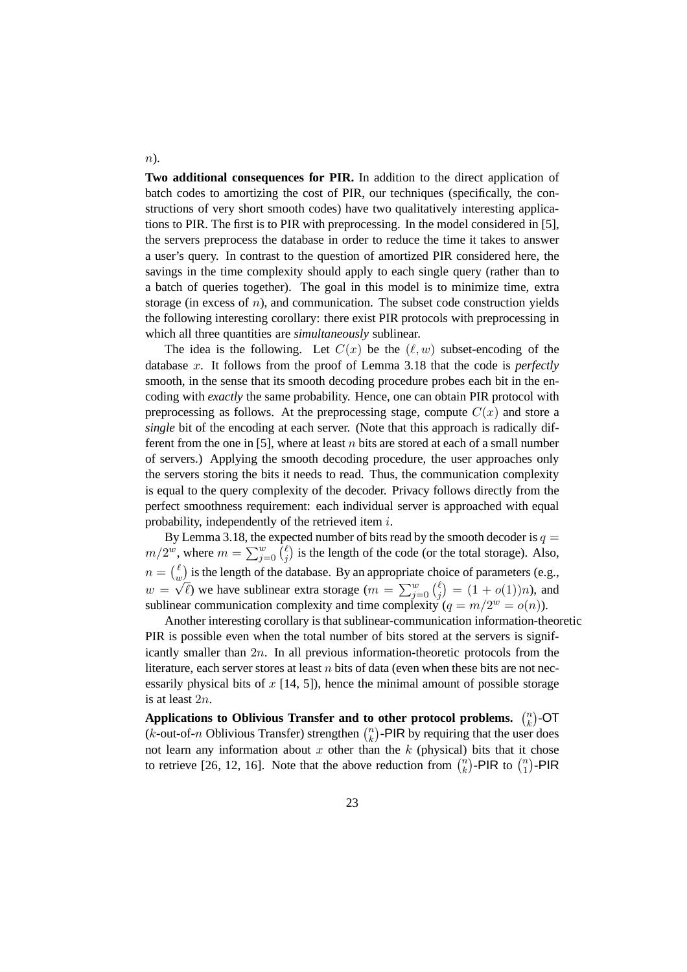**Two additional consequences for PIR.** In addition to the direct application of batch codes to amortizing the cost of PIR, our techniques (specifically, the constructions of very short smooth codes) have two qualitatively interesting applications to PIR. The first is to PIR with preprocessing. In the model considered in [5], the servers preprocess the database in order to reduce the time it takes to answer a user's query. In contrast to the question of amortized PIR considered here, the savings in the time complexity should apply to each single query (rather than to a batch of queries together). The goal in this model is to minimize time, extra storage (in excess of  $n$ ), and communication. The subset code construction yields the following interesting corollary: there exist PIR protocols with preprocessing in which all three quantities are *simultaneously* sublinear.

The idea is the following. Let  $C(x)$  be the  $(\ell, w)$  subset-encoding of the database x. It follows from the proof of Lemma 3.18 that the code is *perfectly* smooth, in the sense that its smooth decoding procedure probes each bit in the encoding with *exactly* the same probability. Hence, one can obtain PIR protocol with preprocessing as follows. At the preprocessing stage, compute  $C(x)$  and store a *single* bit of the encoding at each server. (Note that this approach is radically different from the one in [5], where at least n bits are stored at each of a small number of servers.) Applying the smooth decoding procedure, the user approaches only the servers storing the bits it needs to read. Thus, the communication complexity is equal to the query complexity of the decoder. Privacy follows directly from the perfect smoothness requirement: each individual server is approached with equal probability, independently of the retrieved item i.

By Lemma 3.18, the expected number of bits read by the smooth decoder is  $q =$  $m/2^w$ , where  $m = \sum_{j=0}^w {\bar\binom{\ell}{j}}$  $\binom{\ell}{j}$  is the length of the code (or the total storage). Also,  $n = \binom{\ell}{n}$  $\int_{w}^{\ell}$  is the length of the database. By an appropriate choice of parameters (e.g.,  $w = \sqrt{\ell}$ ) we have sublinear extra storage  $(m = \sum_{j=0}^{w} {\ell \choose j}$  $\binom{\ell}{j} = (1 + o(1))n$ , and sublinear communication complexity and time complexity  $(q = m/2^w = o(n))$ .

Another interesting corollary is that sublinear-communication information-theoretic PIR is possible even when the total number of bits stored at the servers is significantly smaller than  $2n$ . In all previous information-theoretic protocols from the literature, each server stores at least  $n$  bits of data (even when these bits are not necessarily physical bits of  $x$  [14, 5]), hence the minimal amount of possible storage is at least 2n.

Applications to Oblivious Transfer and to other protocol problems.  $\binom{n}{k}$  $\binom{n}{k}$ -OT (*k*-out-of-*n* Oblivious Transfer) strengthen  $\binom{n}{k}$  $\binom{n}{k}$ -PIR by requiring that the user does not learn any information about  $x$  other than the  $k$  (physical) bits that it chose to retrieve [26, 12, 16]. Note that the above reduction from  $\binom{n}{k}$  $\binom{n}{k}$ -PIR to  $\binom{n}{1}$  $\binom{n}{1}$ -PIR

 $n$ ).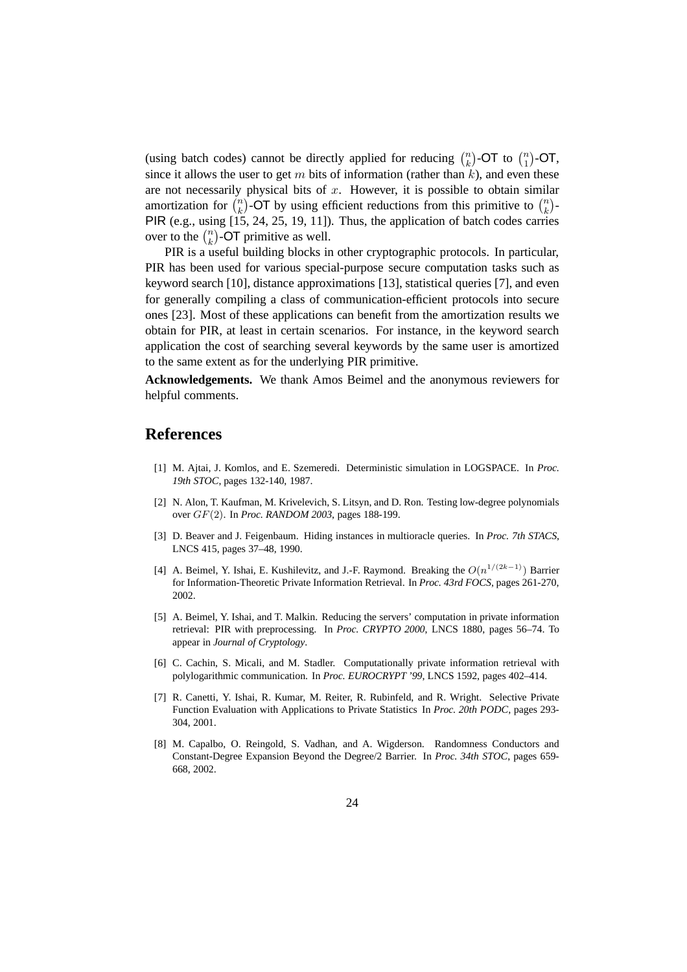(using batch codes) cannot be directly applied for reducing  $\binom{n}{k}$  $\binom{n}{k}$ -OT to  $\binom{n}{1}$  $\binom{n}{1}$ -OT, since it allows the user to get m bits of information (rather than  $k$ ), and even these are not necessarily physical bits of  $x$ . However, it is possible to obtain similar amortization for  $\binom{n}{k}$  $\binom{n}{k}$ -OT by using efficient reductions from this primitive to  $\binom{n}{k}$  $\binom{n}{k}$ -PIR (e.g., using [15, 24, 25, 19, 11]). Thus, the application of batch codes carries over to the  $\binom{n}{k}$  ${k \choose k}$ -OT primitive as well.

PIR is a useful building blocks in other cryptographic protocols. In particular, PIR has been used for various special-purpose secure computation tasks such as keyword search [10], distance approximations [13], statistical queries [7], and even for generally compiling a class of communication-efficient protocols into secure ones [23]. Most of these applications can benefit from the amortization results we obtain for PIR, at least in certain scenarios. For instance, in the keyword search application the cost of searching several keywords by the same user is amortized to the same extent as for the underlying PIR primitive.

**Acknowledgements.** We thank Amos Beimel and the anonymous reviewers for helpful comments.

### **References**

- [1] M. Ajtai, J. Komlos, and E. Szemeredi. Deterministic simulation in LOGSPACE. In *Proc. 19th STOC*, pages 132-140, 1987.
- [2] N. Alon, T. Kaufman, M. Krivelevich, S. Litsyn, and D. Ron. Testing low-degree polynomials over GF(2). In *Proc. RANDOM 2003*, pages 188-199.
- [3] D. Beaver and J. Feigenbaum. Hiding instances in multioracle queries. In *Proc. 7th STACS*, LNCS 415, pages 37–48, 1990.
- [4] A. Beimel, Y. Ishai, E. Kushilevitz, and J.-F. Raymond. Breaking the  $O(n^{1/(2k-1)})$  Barrier for Information-Theoretic Private Information Retrieval. In *Proc. 43rd FOCS*, pages 261-270, 2002.
- [5] A. Beimel, Y. Ishai, and T. Malkin. Reducing the servers' computation in private information retrieval: PIR with preprocessing. In *Proc. CRYPTO 2000*, LNCS 1880, pages 56–74. To appear in *Journal of Cryptology*.
- [6] C. Cachin, S. Micali, and M. Stadler. Computationally private information retrieval with polylogarithmic communication. In *Proc. EUROCRYPT '99*, LNCS 1592, pages 402–414.
- [7] R. Canetti, Y. Ishai, R. Kumar, M. Reiter, R. Rubinfeld, and R. Wright. Selective Private Function Evaluation with Applications to Private Statistics In *Proc. 20th PODC*, pages 293- 304, 2001.
- [8] M. Capalbo, O. Reingold, S. Vadhan, and A. Wigderson. Randomness Conductors and Constant-Degree Expansion Beyond the Degree/2 Barrier. In *Proc. 34th STOC*, pages 659- 668, 2002.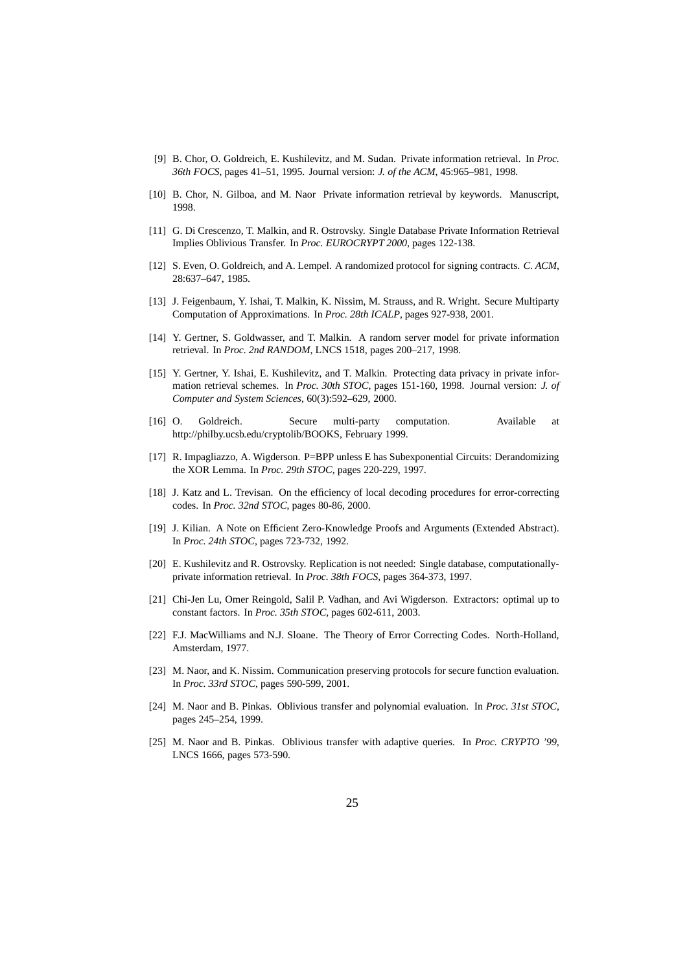- [9] B. Chor, O. Goldreich, E. Kushilevitz, and M. Sudan. Private information retrieval. In *Proc. 36th FOCS*, pages 41–51, 1995. Journal version: *J. of the ACM*, 45:965–981, 1998.
- [10] B. Chor, N. Gilboa, and M. Naor Private information retrieval by keywords. Manuscript, 1998.
- [11] G. Di Crescenzo, T. Malkin, and R. Ostrovsky. Single Database Private Information Retrieval Implies Oblivious Transfer. In *Proc. EUROCRYPT 2000*, pages 122-138.
- [12] S. Even, O. Goldreich, and A. Lempel. A randomized protocol for signing contracts. *C. ACM*, 28:637–647, 1985.
- [13] J. Feigenbaum, Y. Ishai, T. Malkin, K. Nissim, M. Strauss, and R. Wright. Secure Multiparty Computation of Approximations. In *Proc. 28th ICALP*, pages 927-938, 2001.
- [14] Y. Gertner, S. Goldwasser, and T. Malkin. A random server model for private information retrieval. In *Proc. 2nd RANDOM*, LNCS 1518, pages 200–217, 1998.
- [15] Y. Gertner, Y. Ishai, E. Kushilevitz, and T. Malkin. Protecting data privacy in private information retrieval schemes. In *Proc. 30th STOC*, pages 151-160, 1998. Journal version: *J. of Computer and System Sciences*, 60(3):592–629, 2000.
- [16] O. Goldreich. Secure multi-party computation. Available at http://philby.ucsb.edu/cryptolib/BOOKS, February 1999.
- [17] R. Impagliazzo, A. Wigderson. P=BPP unless E has Subexponential Circuits: Derandomizing the XOR Lemma. In *Proc. 29th STOC*, pages 220-229, 1997.
- [18] J. Katz and L. Trevisan. On the efficiency of local decoding procedures for error-correcting codes. In *Proc. 32nd STOC*, pages 80-86, 2000.
- [19] J. Kilian. A Note on Efficient Zero-Knowledge Proofs and Arguments (Extended Abstract). In *Proc. 24th STOC*, pages 723-732, 1992.
- [20] E. Kushilevitz and R. Ostrovsky. Replication is not needed: Single database, computationallyprivate information retrieval. In *Proc. 38th FOCS*, pages 364-373, 1997.
- [21] Chi-Jen Lu, Omer Reingold, Salil P. Vadhan, and Avi Wigderson. Extractors: optimal up to constant factors. In *Proc. 35th STOC*, pages 602-611, 2003.
- [22] F.J. MacWilliams and N.J. Sloane. The Theory of Error Correcting Codes. North-Holland, Amsterdam, 1977.
- [23] M. Naor, and K. Nissim. Communication preserving protocols for secure function evaluation. In *Proc. 33rd STOC*, pages 590-599, 2001.
- [24] M. Naor and B. Pinkas. Oblivious transfer and polynomial evaluation. In *Proc. 31st STOC*, pages 245–254, 1999.
- [25] M. Naor and B. Pinkas. Oblivious transfer with adaptive queries. In *Proc. CRYPTO '99*, LNCS 1666, pages 573-590.